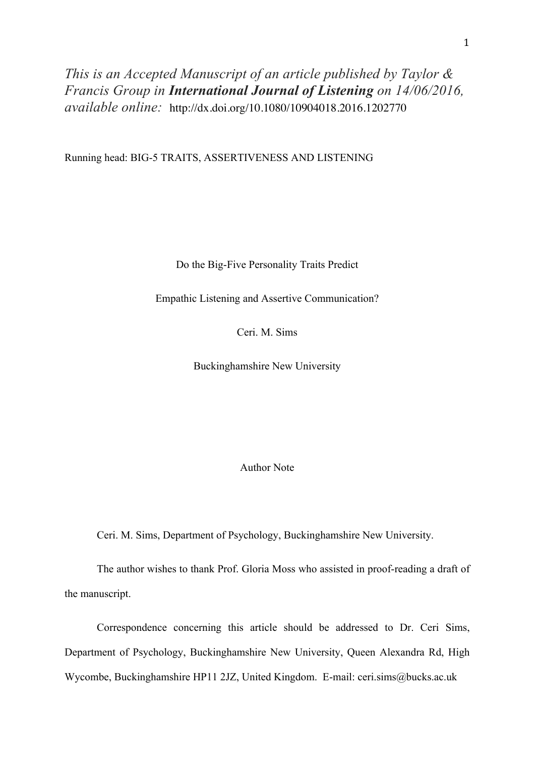*This is an Accepted Manuscript of an article published by Taylor & Francis Group in International Journal of Listening on 14/06/2016, available online:* http://dx.doi.org/10.1080/10904018.2016.1202770

Running head: BIG-5 TRAITS, ASSERTIVENESS AND LISTENING

Do the Big-Five Personality Traits Predict

Empathic Listening and Assertive Communication?

Ceri. M. Sims

Buckinghamshire New University

Author Note

Ceri. M. Sims, Department of Psychology, Buckinghamshire New University.

The author wishes to thank Prof. Gloria Moss who assisted in proof-reading a draft of the manuscript.

Correspondence concerning this article should be addressed to Dr. Ceri Sims, Department of Psychology, Buckinghamshire New University, Queen Alexandra Rd, High Wycombe, Buckinghamshire HP11 2JZ, United Kingdom. E-mail: ceri.sims@bucks.ac.uk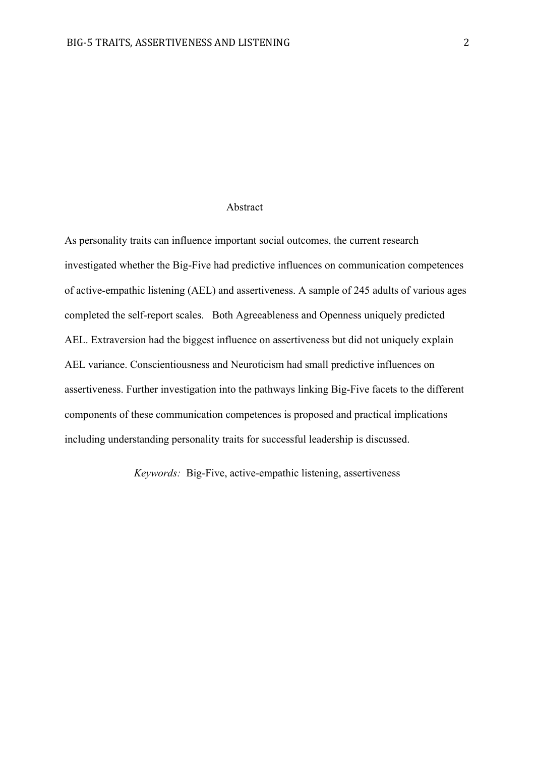## Abstract

As personality traits can influence important social outcomes, the current research investigated whether the Big-Five had predictive influences on communication competences of active-empathic listening (AEL) and assertiveness. A sample of 245 adults of various ages completed the self-report scales. Both Agreeableness and Openness uniquely predicted AEL. Extraversion had the biggest influence on assertiveness but did not uniquely explain AEL variance. Conscientiousness and Neuroticism had small predictive influences on assertiveness. Further investigation into the pathways linking Big-Five facets to the different components of these communication competences is proposed and practical implications including understanding personality traits for successful leadership is discussed.

*Keywords:* Big-Five, active-empathic listening, assertiveness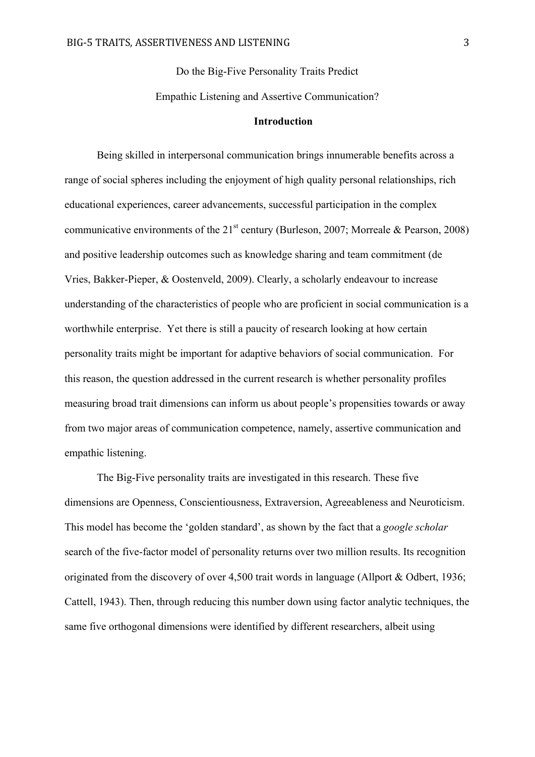Do the Big-Five Personality Traits Predict Empathic Listening and Assertive Communication?

#### **Introduction**

Being skilled in interpersonal communication brings innumerable benefits across a range of social spheres including the enjoyment of high quality personal relationships, rich educational experiences, career advancements, successful participation in the complex communicative environments of the  $21<sup>st</sup>$  century (Burleson, 2007; Morreale & Pearson, 2008) and positive leadership outcomes such as knowledge sharing and team commitment (de Vries, Bakker-Pieper, & Oostenveld, 2009). Clearly, a scholarly endeavour to increase understanding of the characteristics of people who are proficient in social communication is a worthwhile enterprise. Yet there is still a paucity of research looking at how certain personality traits might be important for adaptive behaviors of social communication. For this reason, the question addressed in the current research is whether personality profiles measuring broad trait dimensions can inform us about people's propensities towards or away from two major areas of communication competence, namely, assertive communication and empathic listening.

The Big-Five personality traits are investigated in this research. These five dimensions are Openness, Conscientiousness, Extraversion, Agreeableness and Neuroticism. This model has become the 'golden standard', as shown by the fact that a *google scholar* search of the five-factor model of personality returns over two million results. Its recognition originated from the discovery of over 4,500 trait words in language (Allport & Odbert, 1936; Cattell, 1943). Then, through reducing this number down using factor analytic techniques, the same five orthogonal dimensions were identified by different researchers, albeit using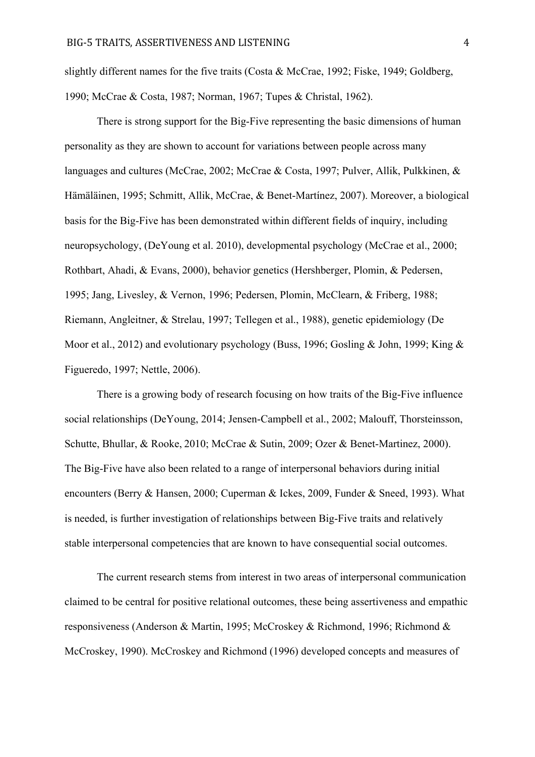slightly different names for the five traits (Costa & McCrae, 1992; Fiske, 1949; Goldberg, 1990; McCrae & Costa, 1987; Norman, 1967; Tupes & Christal, 1962).

There is strong support for the Big-Five representing the basic dimensions of human personality as they are shown to account for variations between people across many languages and cultures (McCrae, 2002; McCrae & Costa, 1997; Pulver, Allik, Pulkkinen, & Hämäläinen, 1995; Schmitt, Allik, McCrae, & Benet-Martínez, 2007). Moreover, a biological basis for the Big-Five has been demonstrated within different fields of inquiry, including neuropsychology, (DeYoung et al. 2010), developmental psychology (McCrae et al., 2000; Rothbart, Ahadi, & Evans, 2000), behavior genetics (Hershberger, Plomin, & Pedersen, 1995; Jang, Livesley, & Vernon, 1996; Pedersen, Plomin, McClearn, & Friberg, 1988; Riemann, Angleitner, & Strelau, 1997; Tellegen et al., 1988), genetic epidemiology (De Moor et al., 2012) and evolutionary psychology (Buss, 1996; Gosling & John, 1999; King & Figueredo, 1997; Nettle, 2006).

There is a growing body of research focusing on how traits of the Big-Five influence social relationships (DeYoung, 2014; Jensen-Campbell et al., 2002; Malouff, Thorsteinsson, Schutte, Bhullar, & Rooke, 2010; McCrae & Sutin, 2009; Ozer & Benet-Martinez, 2000). The Big-Five have also been related to a range of interpersonal behaviors during initial encounters (Berry & Hansen, 2000; Cuperman & Ickes, 2009, Funder & Sneed, 1993). What is needed, is further investigation of relationships between Big-Five traits and relatively stable interpersonal competencies that are known to have consequential social outcomes.

The current research stems from interest in two areas of interpersonal communication claimed to be central for positive relational outcomes, these being assertiveness and empathic responsiveness (Anderson & Martin, 1995; McCroskey & Richmond, 1996; Richmond & McCroskey, 1990). McCroskey and Richmond (1996) developed concepts and measures of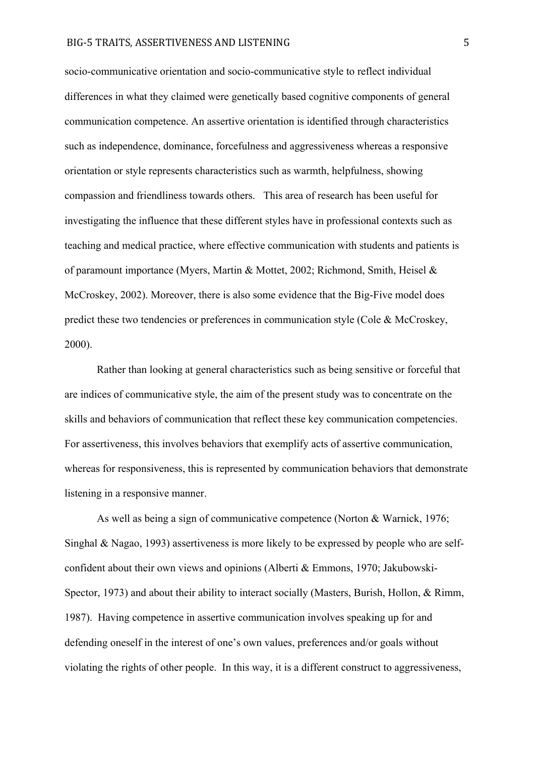socio-communicative orientation and socio-communicative style to reflect individual differences in what they claimed were genetically based cognitive components of general communication competence. An assertive orientation is identified through characteristics such as independence, dominance, forcefulness and aggressiveness whereas a responsive orientation or style represents characteristics such as warmth, helpfulness, showing compassion and friendliness towards others. This area of research has been useful for investigating the influence that these different styles have in professional contexts such as teaching and medical practice, where effective communication with students and patients is of paramount importance (Myers, Martin & Mottet, 2002; Richmond, Smith, Heisel & McCroskey, 2002). Moreover, there is also some evidence that the Big-Five model does predict these two tendencies or preferences in communication style (Cole & McCroskey, 2000).

Rather than looking at general characteristics such as being sensitive or forceful that are indices of communicative style, the aim of the present study was to concentrate on the skills and behaviors of communication that reflect these key communication competencies. For assertiveness, this involves behaviors that exemplify acts of assertive communication, whereas for responsiveness, this is represented by communication behaviors that demonstrate listening in a responsive manner.

As well as being a sign of communicative competence (Norton & Warnick, 1976; Singhal & Nagao, 1993) assertiveness is more likely to be expressed by people who are selfconfident about their own views and opinions (Alberti & Emmons, 1970; Jakubowski-Spector, 1973) and about their ability to interact socially (Masters, Burish, Hollon, & Rimm, 1987). Having competence in assertive communication involves speaking up for and defending oneself in the interest of one's own values, preferences and/or goals without violating the rights of other people. In this way, it is a different construct to aggressiveness,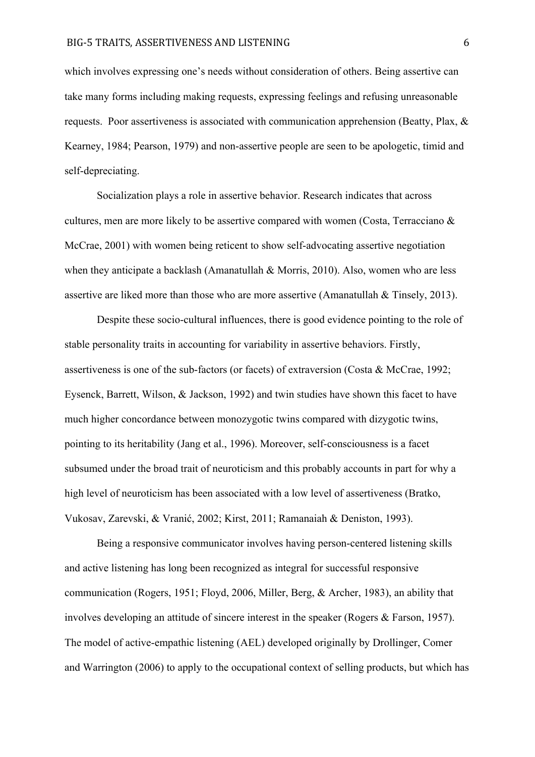which involves expressing one's needs without consideration of others. Being assertive can take many forms including making requests, expressing feelings and refusing unreasonable requests. Poor assertiveness is associated with communication apprehension (Beatty, Plax, & Kearney, 1984; Pearson, 1979) and non-assertive people are seen to be apologetic, timid and self-depreciating.

Socialization plays a role in assertive behavior. Research indicates that across cultures, men are more likely to be assertive compared with women (Costa, Terracciano & McCrae, 2001) with women being reticent to show self-advocating assertive negotiation when they anticipate a backlash (Amanatullah & Morris, 2010). Also, women who are less assertive are liked more than those who are more assertive (Amanatullah & Tinsely, 2013).

Despite these socio-cultural influences, there is good evidence pointing to the role of stable personality traits in accounting for variability in assertive behaviors. Firstly, assertiveness is one of the sub-factors (or facets) of extraversion (Costa & McCrae, 1992; Eysenck, Barrett, Wilson, & Jackson, 1992) and twin studies have shown this facet to have much higher concordance between monozygotic twins compared with dizygotic twins, pointing to its heritability (Jang et al., 1996). Moreover, self-consciousness is a facet subsumed under the broad trait of neuroticism and this probably accounts in part for why a high level of neuroticism has been associated with a low level of assertiveness (Bratko, Vukosav, Zarevski, & Vranić, 2002; Kirst, 2011; Ramanaiah & Deniston, 1993).

Being a responsive communicator involves having person-centered listening skills and active listening has long been recognized as integral for successful responsive communication (Rogers, 1951; Floyd, 2006, Miller, Berg, & Archer, 1983), an ability that involves developing an attitude of sincere interest in the speaker (Rogers & Farson, 1957). The model of active-empathic listening (AEL) developed originally by Drollinger, Comer and Warrington (2006) to apply to the occupational context of selling products, but which has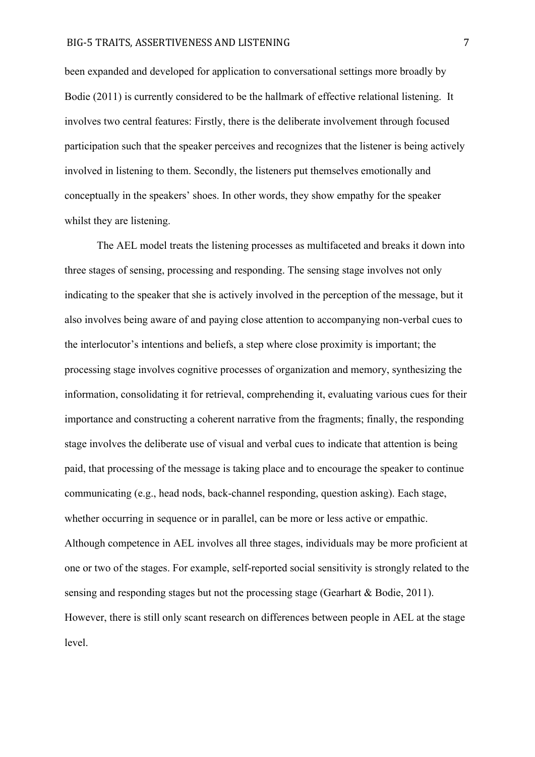#### BIG-5 TRAITS, ASSERTIVENESS AND LISTENING 7

been expanded and developed for application to conversational settings more broadly by Bodie (2011) is currently considered to be the hallmark of effective relational listening. It involves two central features: Firstly, there is the deliberate involvement through focused participation such that the speaker perceives and recognizes that the listener is being actively involved in listening to them. Secondly, the listeners put themselves emotionally and conceptually in the speakers' shoes. In other words, they show empathy for the speaker whilst they are listening.

The AEL model treats the listening processes as multifaceted and breaks it down into three stages of sensing, processing and responding. The sensing stage involves not only indicating to the speaker that she is actively involved in the perception of the message, but it also involves being aware of and paying close attention to accompanying non-verbal cues to the interlocutor's intentions and beliefs, a step where close proximity is important; the processing stage involves cognitive processes of organization and memory, synthesizing the information, consolidating it for retrieval, comprehending it, evaluating various cues for their importance and constructing a coherent narrative from the fragments; finally, the responding stage involves the deliberate use of visual and verbal cues to indicate that attention is being paid, that processing of the message is taking place and to encourage the speaker to continue communicating (e.g., head nods, back-channel responding, question asking). Each stage, whether occurring in sequence or in parallel, can be more or less active or empathic. Although competence in AEL involves all three stages, individuals may be more proficient at one or two of the stages. For example, self-reported social sensitivity is strongly related to the sensing and responding stages but not the processing stage (Gearhart & Bodie, 2011). However, there is still only scant research on differences between people in AEL at the stage level.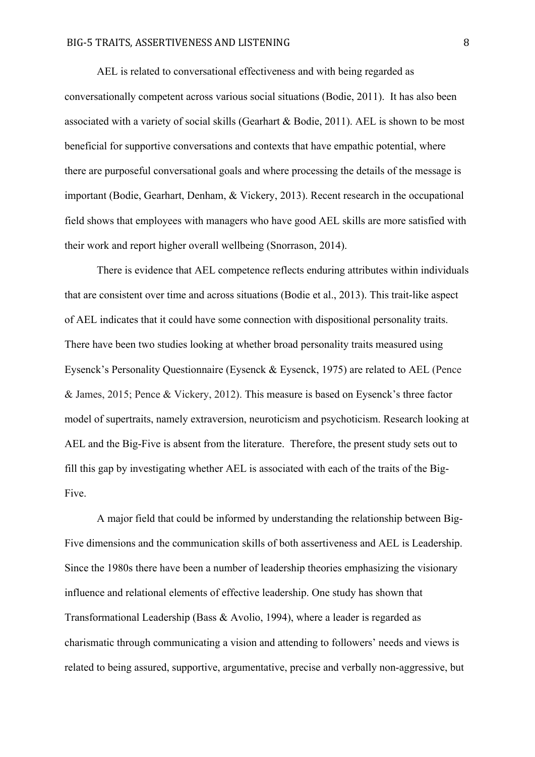AEL is related to conversational effectiveness and with being regarded as conversationally competent across various social situations (Bodie, 2011). It has also been associated with a variety of social skills (Gearhart & Bodie, 2011). AEL is shown to be most beneficial for supportive conversations and contexts that have empathic potential, where there are purposeful conversational goals and where processing the details of the message is important (Bodie, Gearhart, Denham, & Vickery, 2013). Recent research in the occupational field shows that employees with managers who have good AEL skills are more satisfied with their work and report higher overall wellbeing (Snorrason, 2014).

There is evidence that AEL competence reflects enduring attributes within individuals that are consistent over time and across situations (Bodie et al., 2013). This trait-like aspect of AEL indicates that it could have some connection with dispositional personality traits. There have been two studies looking at whether broad personality traits measured using Eysenck's Personality Questionnaire (Eysenck & Eysenck, 1975) are related to AEL (Pence & James, 2015; Pence & Vickery, 2012). This measure is based on Eysenck's three factor model of supertraits, namely extraversion, neuroticism and psychoticism. Research looking at AEL and the Big-Five is absent from the literature. Therefore, the present study sets out to fill this gap by investigating whether AEL is associated with each of the traits of the Big-Five.

A major field that could be informed by understanding the relationship between Big-Five dimensions and the communication skills of both assertiveness and AEL is Leadership. Since the 1980s there have been a number of leadership theories emphasizing the visionary influence and relational elements of effective leadership. One study has shown that Transformational Leadership (Bass & Avolio, 1994), where a leader is regarded as charismatic through communicating a vision and attending to followers' needs and views is related to being assured, supportive, argumentative, precise and verbally non-aggressive, but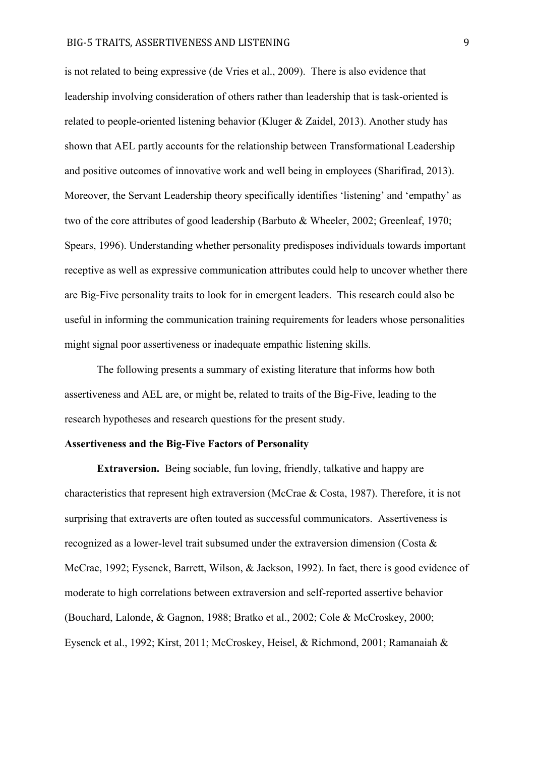is not related to being expressive (de Vries et al., 2009). There is also evidence that leadership involving consideration of others rather than leadership that is task-oriented is related to people-oriented listening behavior (Kluger & Zaidel, 2013). Another study has shown that AEL partly accounts for the relationship between Transformational Leadership and positive outcomes of innovative work and well being in employees (Sharifirad, 2013). Moreover, the Servant Leadership theory specifically identifies 'listening' and 'empathy' as two of the core attributes of good leadership (Barbuto & Wheeler, 2002; Greenleaf, 1970; Spears, 1996). Understanding whether personality predisposes individuals towards important receptive as well as expressive communication attributes could help to uncover whether there are Big-Five personality traits to look for in emergent leaders. This research could also be useful in informing the communication training requirements for leaders whose personalities might signal poor assertiveness or inadequate empathic listening skills.

The following presents a summary of existing literature that informs how both assertiveness and AEL are, or might be, related to traits of the Big-Five, leading to the research hypotheses and research questions for the present study.

#### **Assertiveness and the Big-Five Factors of Personality**

**Extraversion.** Being sociable, fun loving, friendly, talkative and happy are characteristics that represent high extraversion (McCrae & Costa, 1987). Therefore, it is not surprising that extraverts are often touted as successful communicators. Assertiveness is recognized as a lower-level trait subsumed under the extraversion dimension (Costa & McCrae, 1992; Eysenck, Barrett, Wilson, & Jackson, 1992). In fact, there is good evidence of moderate to high correlations between extraversion and self-reported assertive behavior (Bouchard, Lalonde, & Gagnon, 1988; Bratko et al., 2002; Cole & McCroskey, 2000; Eysenck et al., 1992; Kirst, 2011; McCroskey, Heisel, & Richmond, 2001; Ramanaiah &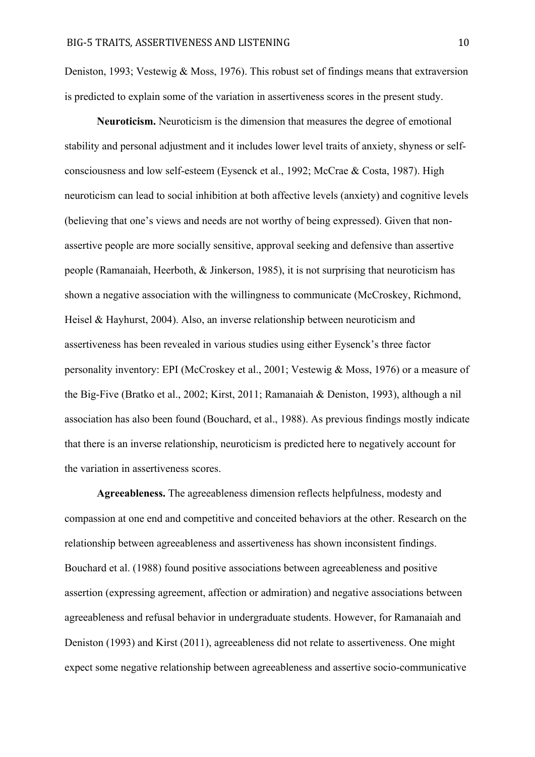Deniston, 1993; Vestewig & Moss, 1976). This robust set of findings means that extraversion is predicted to explain some of the variation in assertiveness scores in the present study.

**Neuroticism.** Neuroticism is the dimension that measures the degree of emotional stability and personal adjustment and it includes lower level traits of anxiety, shyness or selfconsciousness and low self-esteem (Eysenck et al., 1992; McCrae & Costa, 1987). High neuroticism can lead to social inhibition at both affective levels (anxiety) and cognitive levels (believing that one's views and needs are not worthy of being expressed). Given that nonassertive people are more socially sensitive, approval seeking and defensive than assertive people (Ramanaiah, Heerboth, & Jinkerson, 1985), it is not surprising that neuroticism has shown a negative association with the willingness to communicate (McCroskey, Richmond, Heisel & Hayhurst, 2004). Also, an inverse relationship between neuroticism and assertiveness has been revealed in various studies using either Eysenck's three factor personality inventory: EPI (McCroskey et al., 2001; Vestewig & Moss, 1976) or a measure of the Big-Five (Bratko et al., 2002; Kirst, 2011; Ramanaiah & Deniston, 1993), although a nil association has also been found (Bouchard, et al., 1988). As previous findings mostly indicate that there is an inverse relationship, neuroticism is predicted here to negatively account for the variation in assertiveness scores.

**Agreeableness.** The agreeableness dimension reflects helpfulness, modesty and compassion at one end and competitive and conceited behaviors at the other. Research on the relationship between agreeableness and assertiveness has shown inconsistent findings. Bouchard et al. (1988) found positive associations between agreeableness and positive assertion (expressing agreement, affection or admiration) and negative associations between agreeableness and refusal behavior in undergraduate students. However, for Ramanaiah and Deniston (1993) and Kirst (2011), agreeableness did not relate to assertiveness. One might expect some negative relationship between agreeableness and assertive socio-communicative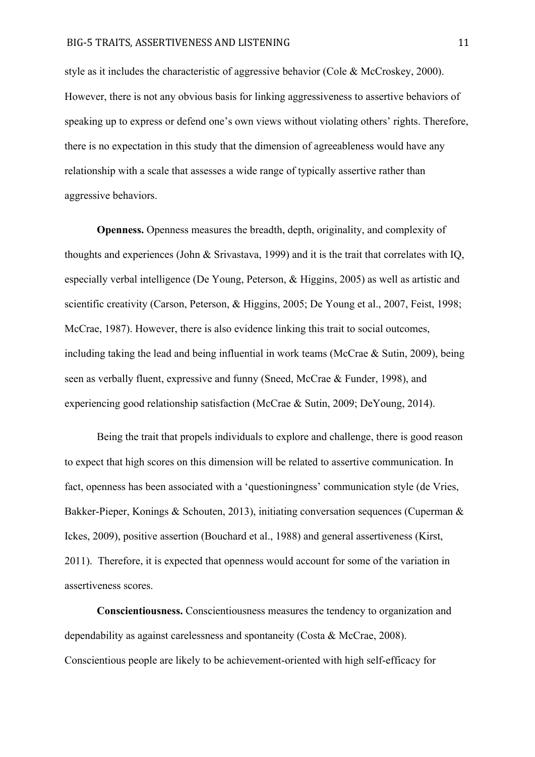style as it includes the characteristic of aggressive behavior (Cole & McCroskey, 2000). However, there is not any obvious basis for linking aggressiveness to assertive behaviors of speaking up to express or defend one's own views without violating others' rights. Therefore, there is no expectation in this study that the dimension of agreeableness would have any relationship with a scale that assesses a wide range of typically assertive rather than aggressive behaviors.

**Openness.** Openness measures the breadth, depth, originality, and complexity of thoughts and experiences (John & Srivastava, 1999) and it is the trait that correlates with IQ, especially verbal intelligence (De Young, Peterson, & Higgins, 2005) as well as artistic and scientific creativity (Carson, Peterson, & Higgins, 2005; De Young et al., 2007, Feist, 1998; McCrae, 1987). However, there is also evidence linking this trait to social outcomes, including taking the lead and being influential in work teams (McCrae  $\&$  Sutin, 2009), being seen as verbally fluent, expressive and funny (Sneed, McCrae & Funder, 1998), and experiencing good relationship satisfaction (McCrae & Sutin, 2009; DeYoung, 2014).

Being the trait that propels individuals to explore and challenge, there is good reason to expect that high scores on this dimension will be related to assertive communication. In fact, openness has been associated with a 'questioningness' communication style (de Vries, Bakker-Pieper, Konings & Schouten, 2013), initiating conversation sequences (Cuperman & Ickes, 2009), positive assertion (Bouchard et al., 1988) and general assertiveness (Kirst, 2011). Therefore, it is expected that openness would account for some of the variation in assertiveness scores.

**Conscientiousness.** Conscientiousness measures the tendency to organization and dependability as against carelessness and spontaneity (Costa & McCrae, 2008). Conscientious people are likely to be achievement-oriented with high self-efficacy for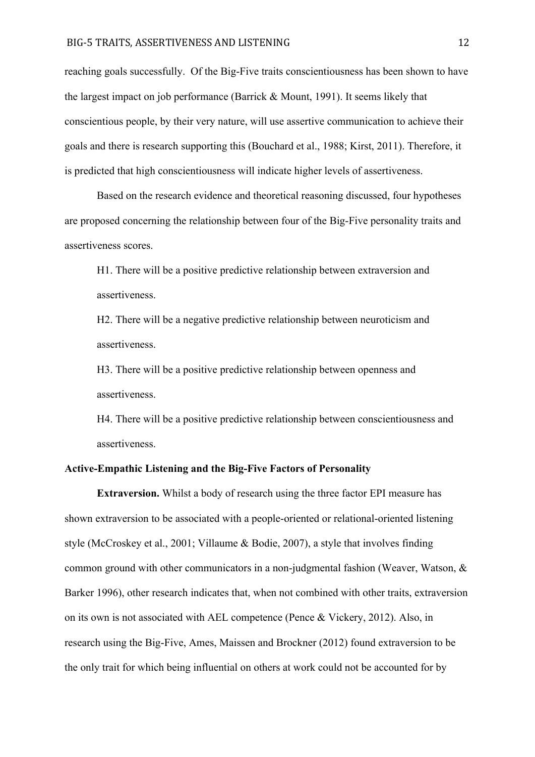reaching goals successfully. Of the Big-Five traits conscientiousness has been shown to have the largest impact on job performance (Barrick & Mount, 1991). It seems likely that conscientious people, by their very nature, will use assertive communication to achieve their goals and there is research supporting this (Bouchard et al., 1988; Kirst, 2011). Therefore, it is predicted that high conscientiousness will indicate higher levels of assertiveness.

Based on the research evidence and theoretical reasoning discussed, four hypotheses are proposed concerning the relationship between four of the Big-Five personality traits and assertiveness scores.

H1. There will be a positive predictive relationship between extraversion and assertiveness.

H2. There will be a negative predictive relationship between neuroticism and assertiveness.

H3. There will be a positive predictive relationship between openness and assertiveness.

H4. There will be a positive predictive relationship between conscientiousness and assertiveness.

# **Active-Empathic Listening and the Big-Five Factors of Personality**

**Extraversion.** Whilst a body of research using the three factor EPI measure has shown extraversion to be associated with a people-oriented or relational-oriented listening style (McCroskey et al., 2001; Villaume & Bodie, 2007), a style that involves finding common ground with other communicators in a non-judgmental fashion (Weaver, Watson, & Barker 1996), other research indicates that, when not combined with other traits, extraversion on its own is not associated with AEL competence (Pence & Vickery, 2012). Also, in research using the Big-Five, Ames, Maissen and Brockner (2012) found extraversion to be the only trait for which being influential on others at work could not be accounted for by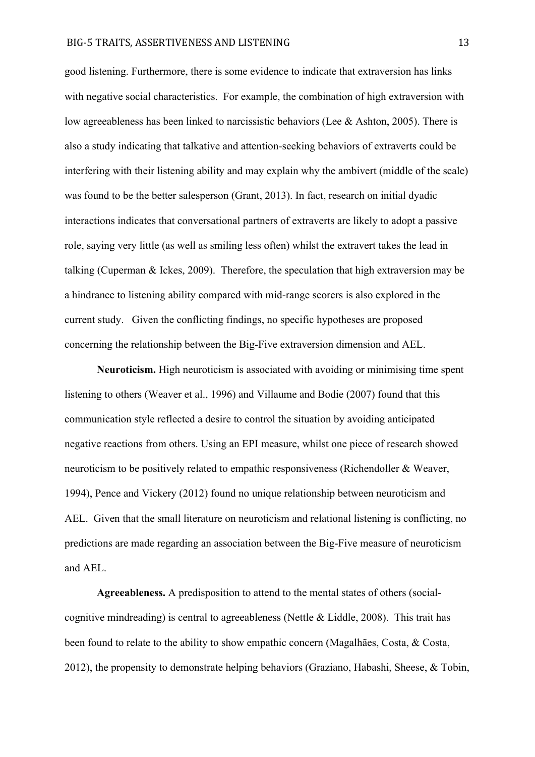#### BIG-5 TRAITS, ASSERTIVENESS AND LISTENING 13

good listening. Furthermore, there is some evidence to indicate that extraversion has links with negative social characteristics. For example, the combination of high extraversion with low agreeableness has been linked to narcissistic behaviors (Lee & Ashton, 2005). There is also a study indicating that talkative and attention-seeking behaviors of extraverts could be interfering with their listening ability and may explain why the ambivert (middle of the scale) was found to be the better salesperson (Grant, 2013). In fact, research on initial dyadic interactions indicates that conversational partners of extraverts are likely to adopt a passive role, saying very little (as well as smiling less often) whilst the extravert takes the lead in talking (Cuperman & Ickes, 2009). Therefore, the speculation that high extraversion may be a hindrance to listening ability compared with mid-range scorers is also explored in the current study. Given the conflicting findings, no specific hypotheses are proposed concerning the relationship between the Big-Five extraversion dimension and AEL.

**Neuroticism.** High neuroticism is associated with avoiding or minimising time spent listening to others (Weaver et al., 1996) and Villaume and Bodie (2007) found that this communication style reflected a desire to control the situation by avoiding anticipated negative reactions from others. Using an EPI measure, whilst one piece of research showed neuroticism to be positively related to empathic responsiveness (Richendoller & Weaver, 1994), Pence and Vickery (2012) found no unique relationship between neuroticism and AEL. Given that the small literature on neuroticism and relational listening is conflicting, no predictions are made regarding an association between the Big-Five measure of neuroticism and AEL.

**Agreeableness.** A predisposition to attend to the mental states of others (socialcognitive mindreading) is central to agreeableness (Nettle  $\&$  Liddle, 2008). This trait has been found to relate to the ability to show empathic concern (Magalhães, Costa, & Costa, 2012), the propensity to demonstrate helping behaviors (Graziano, Habashi, Sheese, & Tobin,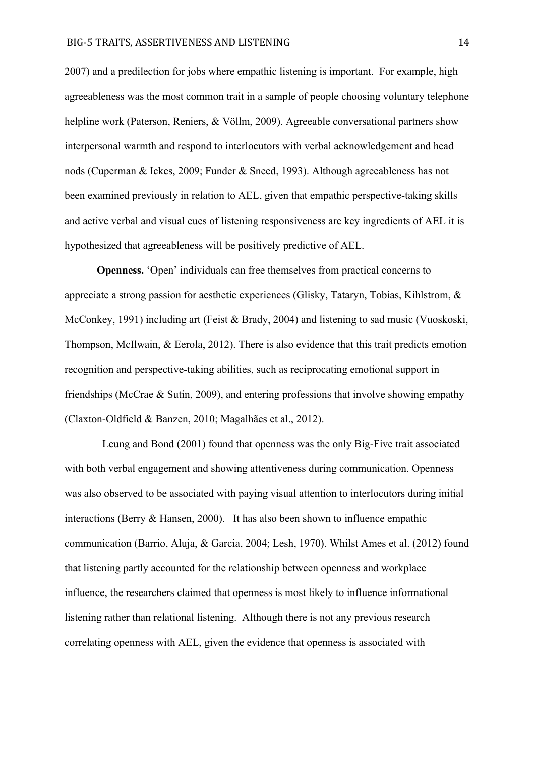2007) and a predilection for jobs where empathic listening is important. For example, high agreeableness was the most common trait in a sample of people choosing voluntary telephone helpline work (Paterson, Reniers, & Völlm, 2009). Agreeable conversational partners show interpersonal warmth and respond to interlocutors with verbal acknowledgement and head nods (Cuperman & Ickes, 2009; Funder & Sneed, 1993). Although agreeableness has not been examined previously in relation to AEL, given that empathic perspective-taking skills and active verbal and visual cues of listening responsiveness are key ingredients of AEL it is hypothesized that agreeableness will be positively predictive of AEL.

**Openness.** 'Open' individuals can free themselves from practical concerns to appreciate a strong passion for aesthetic experiences (Glisky, Tataryn, Tobias, Kihlstrom, & McConkey, 1991) including art (Feist & Brady, 2004) and listening to sad music (Vuoskoski, Thompson, McIlwain, & Eerola, 2012). There is also evidence that this trait predicts emotion recognition and perspective-taking abilities, such as reciprocating emotional support in friendships (McCrae & Sutin, 2009), and entering professions that involve showing empathy (Claxton-Oldfield & Banzen, 2010; Magalhães et al., 2012).

Leung and Bond (2001) found that openness was the only Big-Five trait associated with both verbal engagement and showing attentiveness during communication. Openness was also observed to be associated with paying visual attention to interlocutors during initial interactions (Berry & Hansen, 2000). It has also been shown to influence empathic communication (Barrio, Aluja, & Garcia, 2004; Lesh, 1970). Whilst Ames et al. (2012) found that listening partly accounted for the relationship between openness and workplace influence, the researchers claimed that openness is most likely to influence informational listening rather than relational listening. Although there is not any previous research correlating openness with AEL, given the evidence that openness is associated with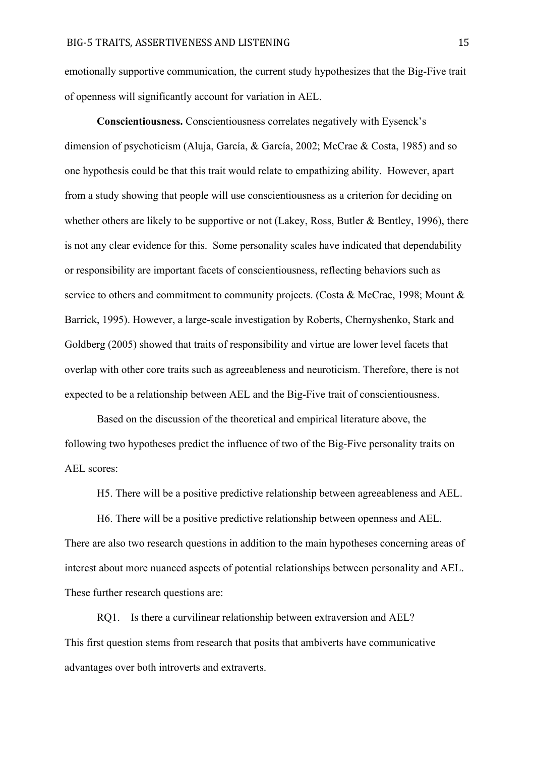emotionally supportive communication, the current study hypothesizes that the Big-Five trait of openness will significantly account for variation in AEL.

**Conscientiousness.** Conscientiousness correlates negatively with Eysenck's dimension of psychoticism (Aluja, García, & García, 2002; McCrae & Costa, 1985) and so one hypothesis could be that this trait would relate to empathizing ability. However, apart from a study showing that people will use conscientiousness as a criterion for deciding on whether others are likely to be supportive or not (Lakey, Ross, Butler & Bentley, 1996), there is not any clear evidence for this. Some personality scales have indicated that dependability or responsibility are important facets of conscientiousness, reflecting behaviors such as service to others and commitment to community projects. (Costa & McCrae, 1998; Mount & Barrick, 1995). However, a large-scale investigation by Roberts, Chernyshenko, Stark and Goldberg (2005) showed that traits of responsibility and virtue are lower level facets that overlap with other core traits such as agreeableness and neuroticism. Therefore, there is not expected to be a relationship between AEL and the Big-Five trait of conscientiousness.

Based on the discussion of the theoretical and empirical literature above, the following two hypotheses predict the influence of two of the Big-Five personality traits on AEL scores:

H5. There will be a positive predictive relationship between agreeableness and AEL.

H6. There will be a positive predictive relationship between openness and AEL. There are also two research questions in addition to the main hypotheses concerning areas of interest about more nuanced aspects of potential relationships between personality and AEL. These further research questions are:

RQ1. Is there a curvilinear relationship between extraversion and AEL? This first question stems from research that posits that ambiverts have communicative advantages over both introverts and extraverts.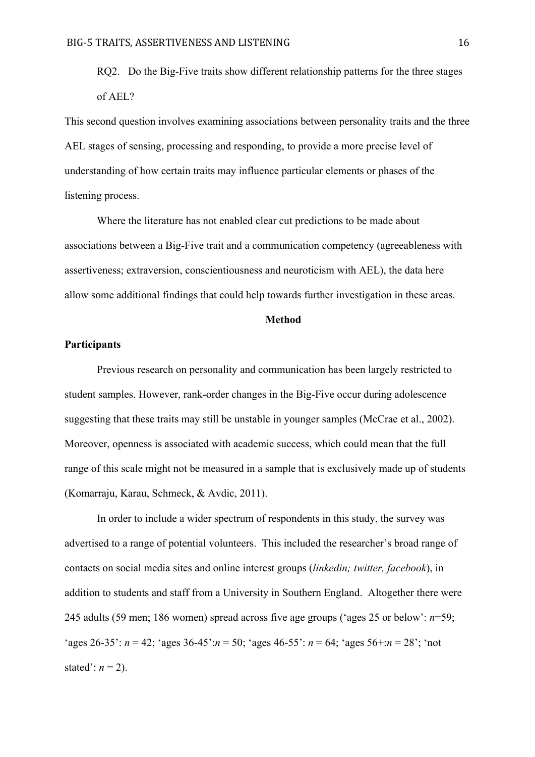RQ2. Do the Big-Five traits show different relationship patterns for the three stages of AEL?

This second question involves examining associations between personality traits and the three AEL stages of sensing, processing and responding, to provide a more precise level of understanding of how certain traits may influence particular elements or phases of the listening process.

Where the literature has not enabled clear cut predictions to be made about associations between a Big-Five trait and a communication competency (agreeableness with assertiveness; extraversion, conscientiousness and neuroticism with AEL), the data here allow some additional findings that could help towards further investigation in these areas.

## **Method**

#### **Participants**

Previous research on personality and communication has been largely restricted to student samples. However, rank-order changes in the Big-Five occur during adolescence suggesting that these traits may still be unstable in younger samples (McCrae et al., 2002). Moreover, openness is associated with academic success, which could mean that the full range of this scale might not be measured in a sample that is exclusively made up of students (Komarraju, Karau, Schmeck, & Avdic, 2011).

In order to include a wider spectrum of respondents in this study, the survey was advertised to a range of potential volunteers. This included the researcher's broad range of contacts on social media sites and online interest groups (*linkedin; twitter, facebook*), in addition to students and staff from a University in Southern England. Altogether there were 245 adults (59 men; 186 women) spread across five age groups ('ages 25 or below': *n*=59; 'ages 26-35':  $n = 42$ ; 'ages 36-45': $n = 50$ ; 'ages 46-55':  $n = 64$ ; 'ages 56+: $n = 28$ '; 'not stated':  $n = 2$ ).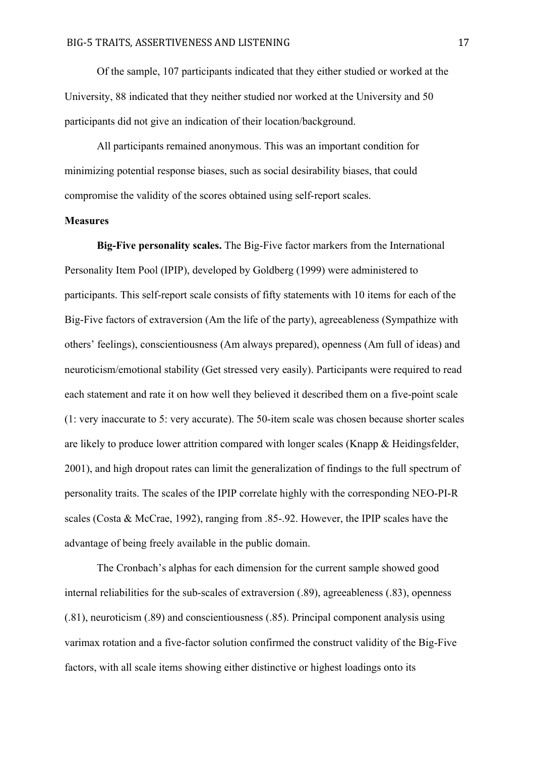Of the sample, 107 participants indicated that they either studied or worked at the University, 88 indicated that they neither studied nor worked at the University and 50 participants did not give an indication of their location/background.

All participants remained anonymous. This was an important condition for minimizing potential response biases, such as social desirability biases, that could compromise the validity of the scores obtained using self-report scales.

#### **Measures**

**Big-Five personality scales.** The Big-Five factor markers from the International Personality Item Pool (IPIP), developed by Goldberg (1999) were administered to participants. This self-report scale consists of fifty statements with 10 items for each of the Big-Five factors of extraversion (Am the life of the party), agreeableness (Sympathize with others' feelings), conscientiousness (Am always prepared), openness (Am full of ideas) and neuroticism/emotional stability (Get stressed very easily). Participants were required to read each statement and rate it on how well they believed it described them on a five-point scale (1: very inaccurate to 5: very accurate). The 50-item scale was chosen because shorter scales are likely to produce lower attrition compared with longer scales (Knapp & Heidingsfelder, 2001), and high dropout rates can limit the generalization of findings to the full spectrum of personality traits. The scales of the IPIP correlate highly with the corresponding NEO-PI-R scales (Costa & McCrae, 1992), ranging from .85-.92. However, the IPIP scales have the advantage of being freely available in the public domain.

The Cronbach's alphas for each dimension for the current sample showed good internal reliabilities for the sub-scales of extraversion (.89), agreeableness (.83), openness (.81), neuroticism (.89) and conscientiousness (.85). Principal component analysis using varimax rotation and a five-factor solution confirmed the construct validity of the Big-Five factors, with all scale items showing either distinctive or highest loadings onto its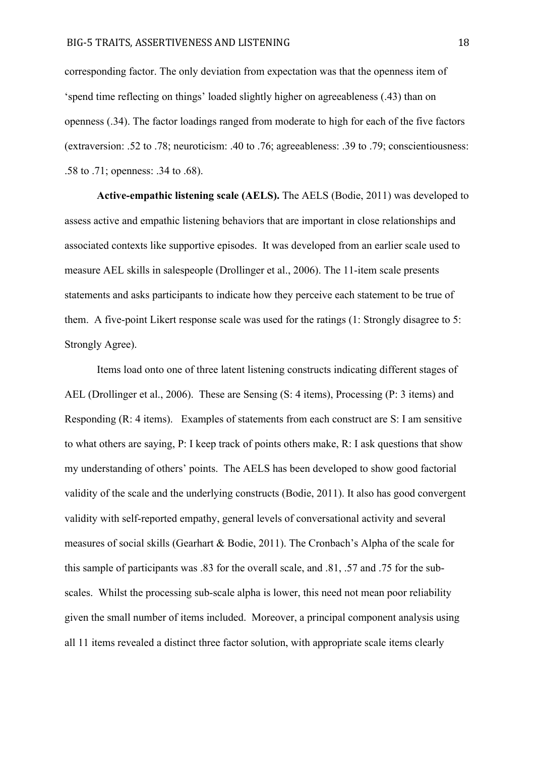corresponding factor. The only deviation from expectation was that the openness item of 'spend time reflecting on things' loaded slightly higher on agreeableness (.43) than on openness (.34). The factor loadings ranged from moderate to high for each of the five factors (extraversion: .52 to .78; neuroticism: .40 to .76; agreeableness: .39 to .79; conscientiousness: .58 to .71; openness: .34 to .68).

**Active-empathic listening scale (AELS).** The AELS (Bodie, 2011) was developed to assess active and empathic listening behaviors that are important in close relationships and associated contexts like supportive episodes. It was developed from an earlier scale used to measure AEL skills in salespeople (Drollinger et al., 2006). The 11-item scale presents statements and asks participants to indicate how they perceive each statement to be true of them. A five-point Likert response scale was used for the ratings (1: Strongly disagree to 5: Strongly Agree).

Items load onto one of three latent listening constructs indicating different stages of AEL (Drollinger et al., 2006). These are Sensing (S: 4 items), Processing (P: 3 items) and Responding (R: 4 items). Examples of statements from each construct are S: I am sensitive to what others are saying, P: I keep track of points others make, R: I ask questions that show my understanding of others' points. The AELS has been developed to show good factorial validity of the scale and the underlying constructs (Bodie, 2011). It also has good convergent validity with self-reported empathy, general levels of conversational activity and several measures of social skills (Gearhart & Bodie, 2011). The Cronbach's Alpha of the scale for this sample of participants was .83 for the overall scale, and .81, .57 and .75 for the subscales. Whilst the processing sub-scale alpha is lower, this need not mean poor reliability given the small number of items included. Moreover, a principal component analysis using all 11 items revealed a distinct three factor solution, with appropriate scale items clearly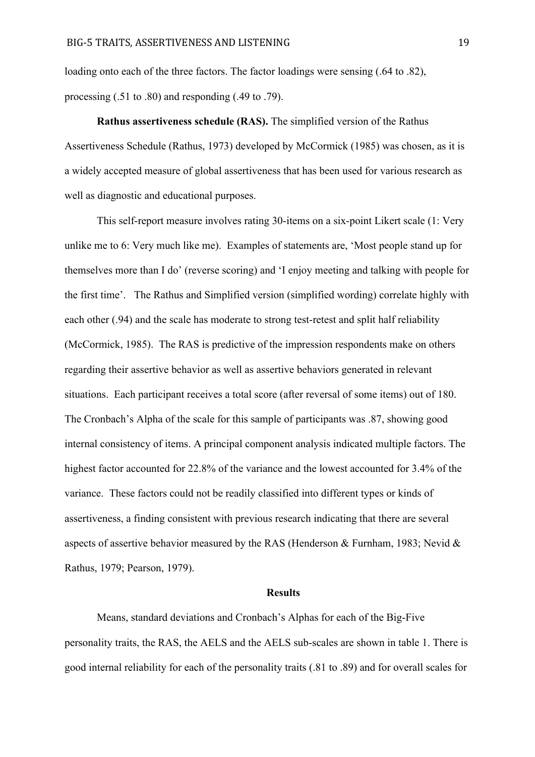loading onto each of the three factors. The factor loadings were sensing (.64 to .82), processing (.51 to .80) and responding (.49 to .79).

**Rathus assertiveness schedule (RAS).** The simplified version of the Rathus Assertiveness Schedule (Rathus, 1973) developed by McCormick (1985) was chosen, as it is a widely accepted measure of global assertiveness that has been used for various research as well as diagnostic and educational purposes.

This self-report measure involves rating 30-items on a six-point Likert scale (1: Very unlike me to 6: Very much like me). Examples of statements are, 'Most people stand up for themselves more than I do' (reverse scoring) and 'I enjoy meeting and talking with people for the first time'. The Rathus and Simplified version (simplified wording) correlate highly with each other (.94) and the scale has moderate to strong test-retest and split half reliability (McCormick, 1985). The RAS is predictive of the impression respondents make on others regarding their assertive behavior as well as assertive behaviors generated in relevant situations. Each participant receives a total score (after reversal of some items) out of 180. The Cronbach's Alpha of the scale for this sample of participants was .87, showing good internal consistency of items. A principal component analysis indicated multiple factors. The highest factor accounted for 22.8% of the variance and the lowest accounted for 3.4% of the variance. These factors could not be readily classified into different types or kinds of assertiveness, a finding consistent with previous research indicating that there are several aspects of assertive behavior measured by the RAS (Henderson & Furnham, 1983; Nevid & Rathus, 1979; Pearson, 1979).

#### **Results**

Means, standard deviations and Cronbach's Alphas for each of the Big-Five personality traits, the RAS, the AELS and the AELS sub-scales are shown in table 1. There is good internal reliability for each of the personality traits (.81 to .89) and for overall scales for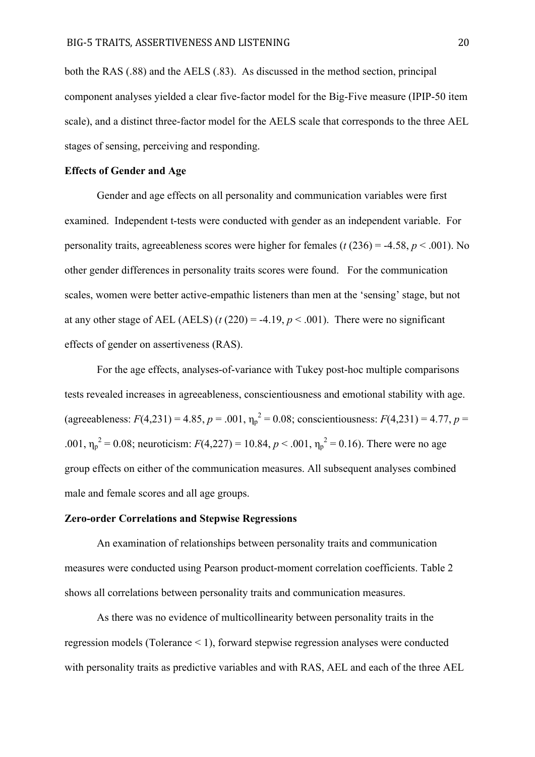both the RAS (.88) and the AELS (.83). As discussed in the method section, principal component analyses yielded a clear five-factor model for the Big-Five measure (IPIP-50 item scale), and a distinct three-factor model for the AELS scale that corresponds to the three AEL stages of sensing, perceiving and responding.

#### **Effects of Gender and Age**

Gender and age effects on all personality and communication variables were first examined. Independent t-tests were conducted with gender as an independent variable. For personality traits, agreeableness scores were higher for females ( $t$  (236) = -4.58,  $p$  < .001). No other gender differences in personality traits scores were found. For the communication scales, women were better active-empathic listeners than men at the 'sensing' stage, but not at any other stage of AEL (AELS)  $(t(220) = -4.19, p < .001)$ . There were no significant effects of gender on assertiveness (RAS).

For the age effects, analyses-of-variance with Tukey post-hoc multiple comparisons tests revealed increases in agreeableness, conscientiousness and emotional stability with age. (agreeableness:  $F(4,231) = 4.85$ ,  $p = .001$ ,  $\eta_p^2 = 0.08$ ; conscientiousness:  $F(4,231) = 4.77$ ,  $p =$ .001,  $\eta_p^2 = 0.08$ ; neuroticism:  $F(4,227) = 10.84$ ,  $p < .001$ ,  $\eta_p^2 = 0.16$ ). There were no age group effects on either of the communication measures. All subsequent analyses combined male and female scores and all age groups.

## **Zero-order Correlations and Stepwise Regressions**

An examination of relationships between personality traits and communication measures were conducted using Pearson product-moment correlation coefficients. Table 2 shows all correlations between personality traits and communication measures.

As there was no evidence of multicollinearity between personality traits in the regression models (Tolerance < 1), forward stepwise regression analyses were conducted with personality traits as predictive variables and with RAS, AEL and each of the three AEL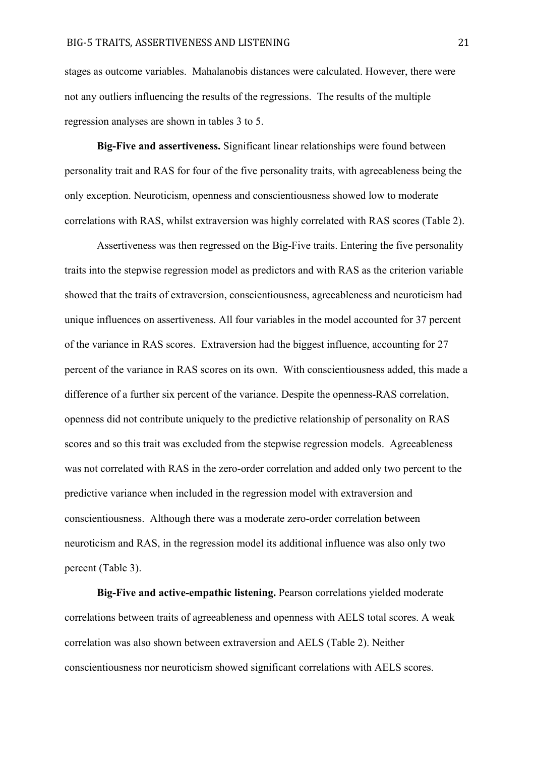stages as outcome variables. Mahalanobis distances were calculated. However, there were not any outliers influencing the results of the regressions. The results of the multiple regression analyses are shown in tables 3 to 5.

**Big-Five and assertiveness.** Significant linear relationships were found between personality trait and RAS for four of the five personality traits, with agreeableness being the only exception. Neuroticism, openness and conscientiousness showed low to moderate correlations with RAS, whilst extraversion was highly correlated with RAS scores (Table 2).

Assertiveness was then regressed on the Big-Five traits. Entering the five personality traits into the stepwise regression model as predictors and with RAS as the criterion variable showed that the traits of extraversion, conscientiousness, agreeableness and neuroticism had unique influences on assertiveness. All four variables in the model accounted for 37 percent of the variance in RAS scores. Extraversion had the biggest influence, accounting for 27 percent of the variance in RAS scores on its own. With conscientiousness added, this made a difference of a further six percent of the variance. Despite the openness-RAS correlation, openness did not contribute uniquely to the predictive relationship of personality on RAS scores and so this trait was excluded from the stepwise regression models. Agreeableness was not correlated with RAS in the zero-order correlation and added only two percent to the predictive variance when included in the regression model with extraversion and conscientiousness. Although there was a moderate zero-order correlation between neuroticism and RAS, in the regression model its additional influence was also only two percent (Table 3).

**Big-Five and active-empathic listening.** Pearson correlations yielded moderate correlations between traits of agreeableness and openness with AELS total scores. A weak correlation was also shown between extraversion and AELS (Table 2). Neither conscientiousness nor neuroticism showed significant correlations with AELS scores.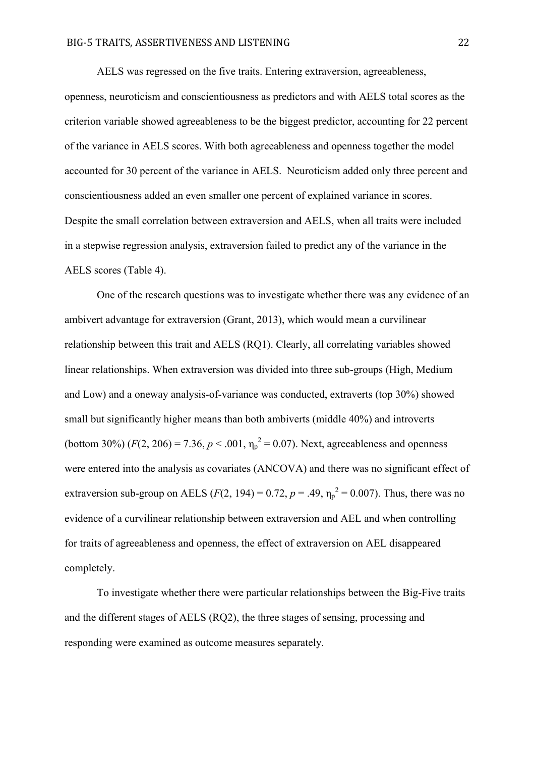AELS was regressed on the five traits. Entering extraversion, agreeableness, openness, neuroticism and conscientiousness as predictors and with AELS total scores as the criterion variable showed agreeableness to be the biggest predictor, accounting for 22 percent of the variance in AELS scores. With both agreeableness and openness together the model accounted for 30 percent of the variance in AELS. Neuroticism added only three percent and conscientiousness added an even smaller one percent of explained variance in scores. Despite the small correlation between extraversion and AELS, when all traits were included in a stepwise regression analysis, extraversion failed to predict any of the variance in the AELS scores (Table 4).

One of the research questions was to investigate whether there was any evidence of an ambivert advantage for extraversion (Grant, 2013), which would mean a curvilinear relationship between this trait and AELS (RQ1). Clearly, all correlating variables showed linear relationships. When extraversion was divided into three sub-groups (High, Medium and Low) and a oneway analysis-of-variance was conducted, extraverts (top 30%) showed small but significantly higher means than both ambiverts (middle 40%) and introverts (bottom 30%)  $(F(2, 206) = 7.36, p < .001, \eta_p^2 = 0.07)$ . Next, agreeableness and openness were entered into the analysis as covariates (ANCOVA) and there was no significant effect of extraversion sub-group on AELS ( $F(2, 194) = 0.72$ ,  $p = .49$ ,  $\eta_p^2 = 0.007$ ). Thus, there was no evidence of a curvilinear relationship between extraversion and AEL and when controlling for traits of agreeableness and openness, the effect of extraversion on AEL disappeared completely.

To investigate whether there were particular relationships between the Big-Five traits and the different stages of AELS (RQ2), the three stages of sensing, processing and responding were examined as outcome measures separately.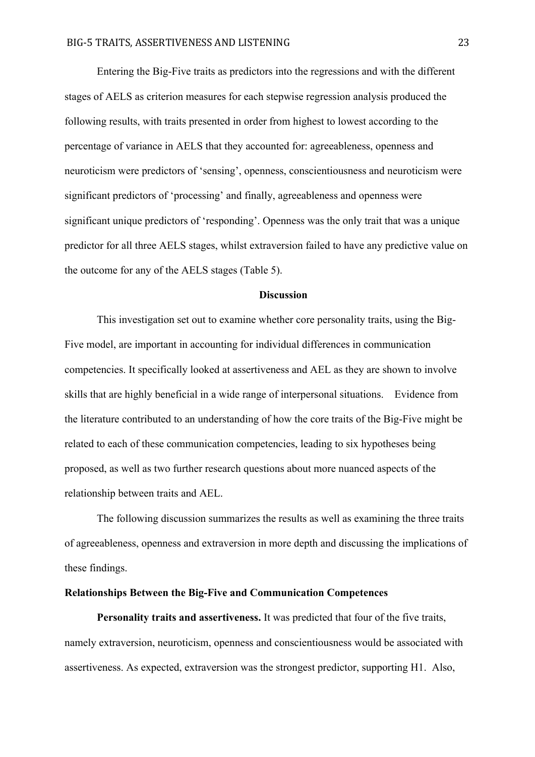Entering the Big-Five traits as predictors into the regressions and with the different stages of AELS as criterion measures for each stepwise regression analysis produced the following results, with traits presented in order from highest to lowest according to the percentage of variance in AELS that they accounted for: agreeableness, openness and neuroticism were predictors of 'sensing', openness, conscientiousness and neuroticism were significant predictors of 'processing' and finally, agreeableness and openness were significant unique predictors of 'responding'. Openness was the only trait that was a unique predictor for all three AELS stages, whilst extraversion failed to have any predictive value on the outcome for any of the AELS stages (Table 5).

## **Discussion**

This investigation set out to examine whether core personality traits, using the Big-Five model, are important in accounting for individual differences in communication competencies. It specifically looked at assertiveness and AEL as they are shown to involve skills that are highly beneficial in a wide range of interpersonal situations. Evidence from the literature contributed to an understanding of how the core traits of the Big-Five might be related to each of these communication competencies, leading to six hypotheses being proposed, as well as two further research questions about more nuanced aspects of the relationship between traits and AEL.

The following discussion summarizes the results as well as examining the three traits of agreeableness, openness and extraversion in more depth and discussing the implications of these findings.

## **Relationships Between the Big-Five and Communication Competences**

**Personality traits and assertiveness.** It was predicted that four of the five traits, namely extraversion, neuroticism, openness and conscientiousness would be associated with assertiveness. As expected, extraversion was the strongest predictor, supporting H1. Also,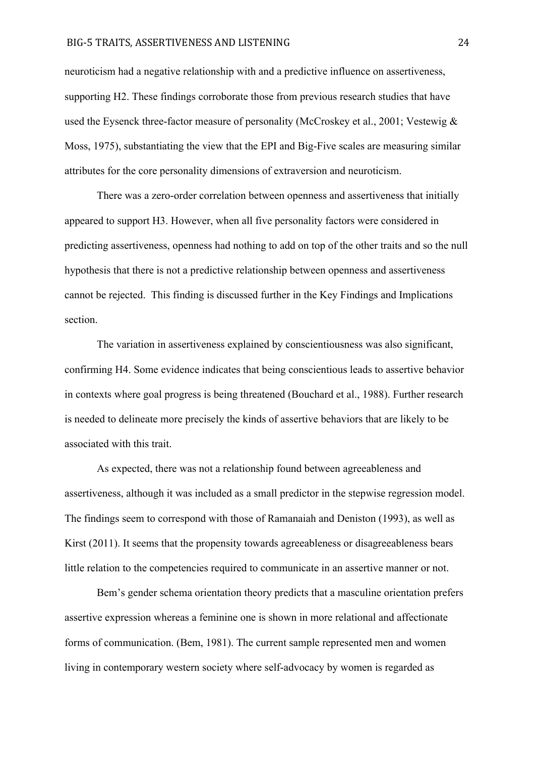#### BIG-5 TRAITS, ASSERTIVENESS AND LISTENING 24

neuroticism had a negative relationship with and a predictive influence on assertiveness, supporting H2. These findings corroborate those from previous research studies that have used the Eysenck three-factor measure of personality (McCroskey et al., 2001; Vestewig & Moss, 1975), substantiating the view that the EPI and Big-Five scales are measuring similar attributes for the core personality dimensions of extraversion and neuroticism.

There was a zero-order correlation between openness and assertiveness that initially appeared to support H3. However, when all five personality factors were considered in predicting assertiveness, openness had nothing to add on top of the other traits and so the null hypothesis that there is not a predictive relationship between openness and assertiveness cannot be rejected. This finding is discussed further in the Key Findings and Implications section.

The variation in assertiveness explained by conscientiousness was also significant, confirming H4. Some evidence indicates that being conscientious leads to assertive behavior in contexts where goal progress is being threatened (Bouchard et al., 1988). Further research is needed to delineate more precisely the kinds of assertive behaviors that are likely to be associated with this trait.

As expected, there was not a relationship found between agreeableness and assertiveness, although it was included as a small predictor in the stepwise regression model. The findings seem to correspond with those of Ramanaiah and Deniston (1993), as well as Kirst (2011). It seems that the propensity towards agreeableness or disagreeableness bears little relation to the competencies required to communicate in an assertive manner or not.

Bem's gender schema orientation theory predicts that a masculine orientation prefers assertive expression whereas a feminine one is shown in more relational and affectionate forms of communication. (Bem, 1981). The current sample represented men and women living in contemporary western society where self-advocacy by women is regarded as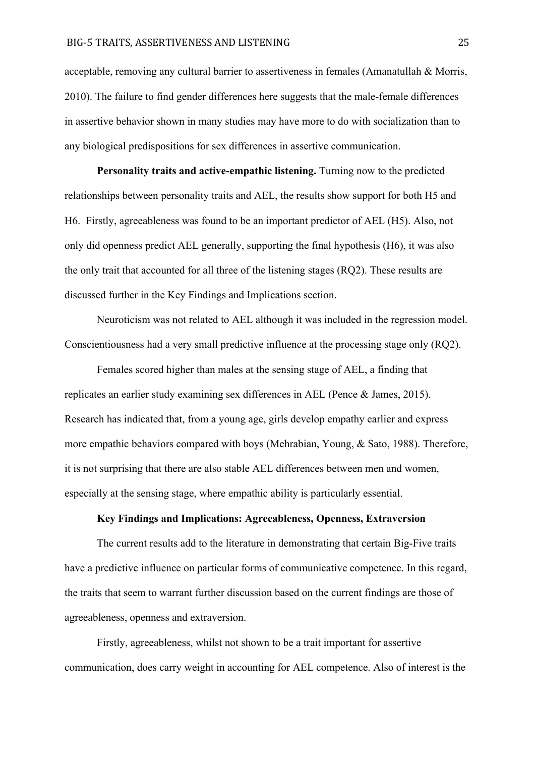acceptable, removing any cultural barrier to assertiveness in females (Amanatullah & Morris, 2010). The failure to find gender differences here suggests that the male-female differences in assertive behavior shown in many studies may have more to do with socialization than to any biological predispositions for sex differences in assertive communication.

**Personality traits and active-empathic listening.** Turning now to the predicted relationships between personality traits and AEL, the results show support for both H5 and H6. Firstly, agreeableness was found to be an important predictor of AEL (H5). Also, not only did openness predict AEL generally, supporting the final hypothesis (H6), it was also the only trait that accounted for all three of the listening stages (RQ2). These results are discussed further in the Key Findings and Implications section.

Neuroticism was not related to AEL although it was included in the regression model. Conscientiousness had a very small predictive influence at the processing stage only (RQ2).

Females scored higher than males at the sensing stage of AEL, a finding that replicates an earlier study examining sex differences in AEL (Pence & James, 2015). Research has indicated that, from a young age, girls develop empathy earlier and express more empathic behaviors compared with boys (Mehrabian, Young, & Sato, 1988). Therefore, it is not surprising that there are also stable AEL differences between men and women, especially at the sensing stage, where empathic ability is particularly essential.

## **Key Findings and Implications: Agreeableness, Openness, Extraversion**

The current results add to the literature in demonstrating that certain Big-Five traits have a predictive influence on particular forms of communicative competence. In this regard, the traits that seem to warrant further discussion based on the current findings are those of agreeableness, openness and extraversion.

Firstly, agreeableness, whilst not shown to be a trait important for assertive communication, does carry weight in accounting for AEL competence. Also of interest is the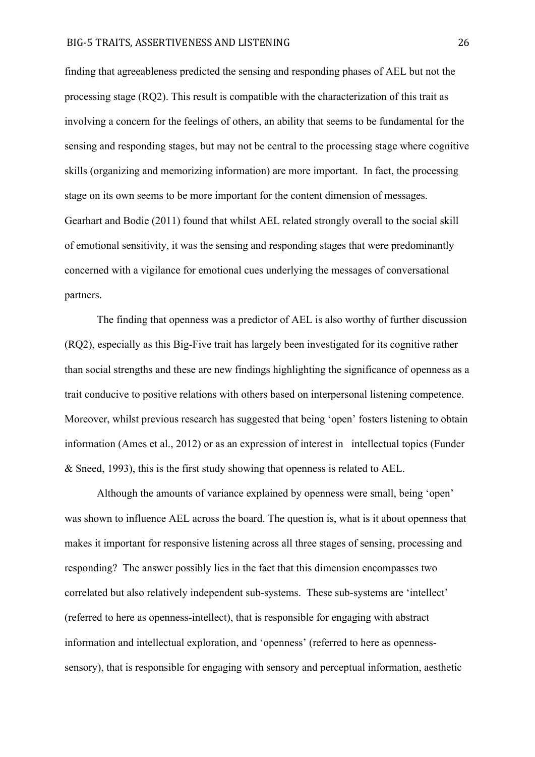finding that agreeableness predicted the sensing and responding phases of AEL but not the processing stage (RQ2). This result is compatible with the characterization of this trait as involving a concern for the feelings of others, an ability that seems to be fundamental for the sensing and responding stages, but may not be central to the processing stage where cognitive skills (organizing and memorizing information) are more important. In fact, the processing stage on its own seems to be more important for the content dimension of messages. Gearhart and Bodie (2011) found that whilst AEL related strongly overall to the social skill of emotional sensitivity, it was the sensing and responding stages that were predominantly concerned with a vigilance for emotional cues underlying the messages of conversational partners.

The finding that openness was a predictor of AEL is also worthy of further discussion (RQ2), especially as this Big-Five trait has largely been investigated for its cognitive rather than social strengths and these are new findings highlighting the significance of openness as a trait conducive to positive relations with others based on interpersonal listening competence. Moreover, whilst previous research has suggested that being 'open' fosters listening to obtain information (Ames et al., 2012) or as an expression of interest in intellectual topics (Funder & Sneed, 1993), this is the first study showing that openness is related to AEL.

Although the amounts of variance explained by openness were small, being 'open' was shown to influence AEL across the board. The question is, what is it about openness that makes it important for responsive listening across all three stages of sensing, processing and responding? The answer possibly lies in the fact that this dimension encompasses two correlated but also relatively independent sub-systems. These sub-systems are 'intellect' (referred to here as openness-intellect), that is responsible for engaging with abstract information and intellectual exploration, and 'openness' (referred to here as opennesssensory), that is responsible for engaging with sensory and perceptual information, aesthetic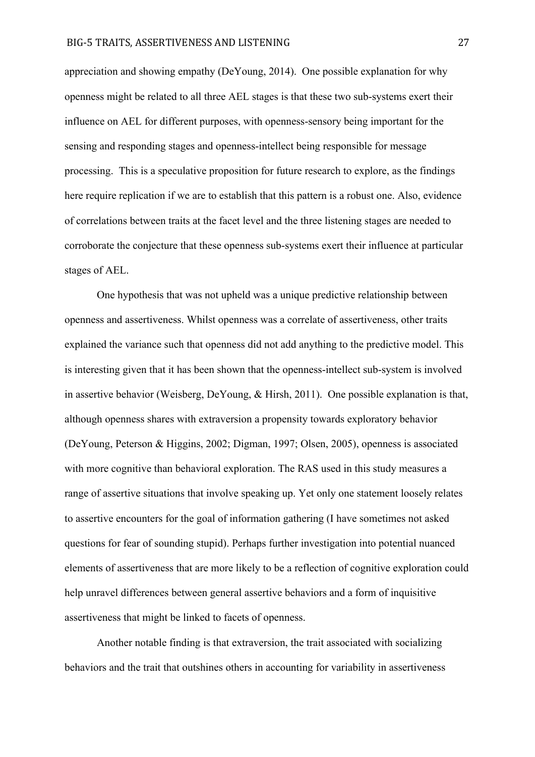appreciation and showing empathy (DeYoung, 2014). One possible explanation for why openness might be related to all three AEL stages is that these two sub-systems exert their influence on AEL for different purposes, with openness-sensory being important for the sensing and responding stages and openness-intellect being responsible for message processing. This is a speculative proposition for future research to explore, as the findings here require replication if we are to establish that this pattern is a robust one. Also, evidence of correlations between traits at the facet level and the three listening stages are needed to corroborate the conjecture that these openness sub-systems exert their influence at particular stages of AEL.

One hypothesis that was not upheld was a unique predictive relationship between openness and assertiveness. Whilst openness was a correlate of assertiveness, other traits explained the variance such that openness did not add anything to the predictive model. This is interesting given that it has been shown that the openness-intellect sub-system is involved in assertive behavior (Weisberg, DeYoung, & Hirsh, 2011). One possible explanation is that, although openness shares with extraversion a propensity towards exploratory behavior (DeYoung, Peterson & Higgins, 2002; Digman, 1997; Olsen, 2005), openness is associated with more cognitive than behavioral exploration. The RAS used in this study measures a range of assertive situations that involve speaking up. Yet only one statement loosely relates to assertive encounters for the goal of information gathering (I have sometimes not asked questions for fear of sounding stupid). Perhaps further investigation into potential nuanced elements of assertiveness that are more likely to be a reflection of cognitive exploration could help unravel differences between general assertive behaviors and a form of inquisitive assertiveness that might be linked to facets of openness.

Another notable finding is that extraversion, the trait associated with socializing behaviors and the trait that outshines others in accounting for variability in assertiveness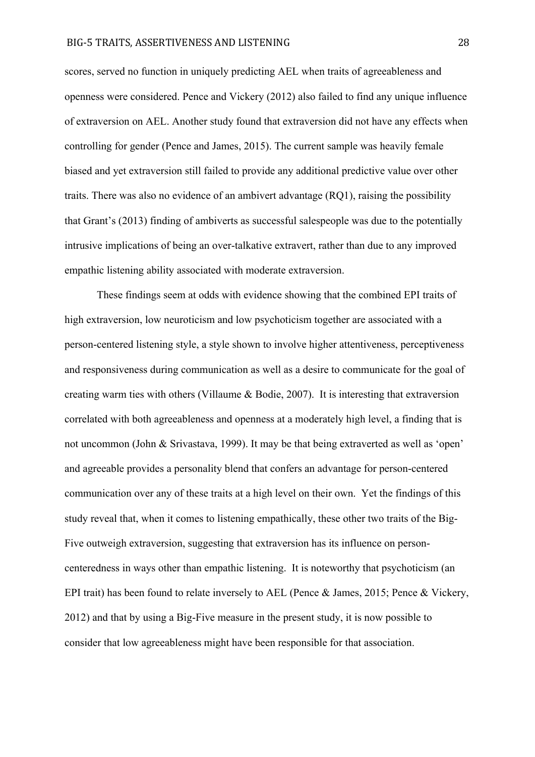scores, served no function in uniquely predicting AEL when traits of agreeableness and openness were considered. Pence and Vickery (2012) also failed to find any unique influence of extraversion on AEL. Another study found that extraversion did not have any effects when controlling for gender (Pence and James, 2015). The current sample was heavily female biased and yet extraversion still failed to provide any additional predictive value over other traits. There was also no evidence of an ambivert advantage (RQ1), raising the possibility that Grant's (2013) finding of ambiverts as successful salespeople was due to the potentially intrusive implications of being an over-talkative extravert, rather than due to any improved empathic listening ability associated with moderate extraversion.

These findings seem at odds with evidence showing that the combined EPI traits of high extraversion, low neuroticism and low psychoticism together are associated with a person-centered listening style, a style shown to involve higher attentiveness, perceptiveness and responsiveness during communication as well as a desire to communicate for the goal of creating warm ties with others (Villaume & Bodie, 2007). It is interesting that extraversion correlated with both agreeableness and openness at a moderately high level, a finding that is not uncommon (John & Srivastava, 1999). It may be that being extraverted as well as 'open' and agreeable provides a personality blend that confers an advantage for person-centered communication over any of these traits at a high level on their own. Yet the findings of this study reveal that, when it comes to listening empathically, these other two traits of the Big-Five outweigh extraversion, suggesting that extraversion has its influence on personcenteredness in ways other than empathic listening. It is noteworthy that psychoticism (an EPI trait) has been found to relate inversely to AEL (Pence & James, 2015; Pence & Vickery, 2012) and that by using a Big-Five measure in the present study, it is now possible to consider that low agreeableness might have been responsible for that association.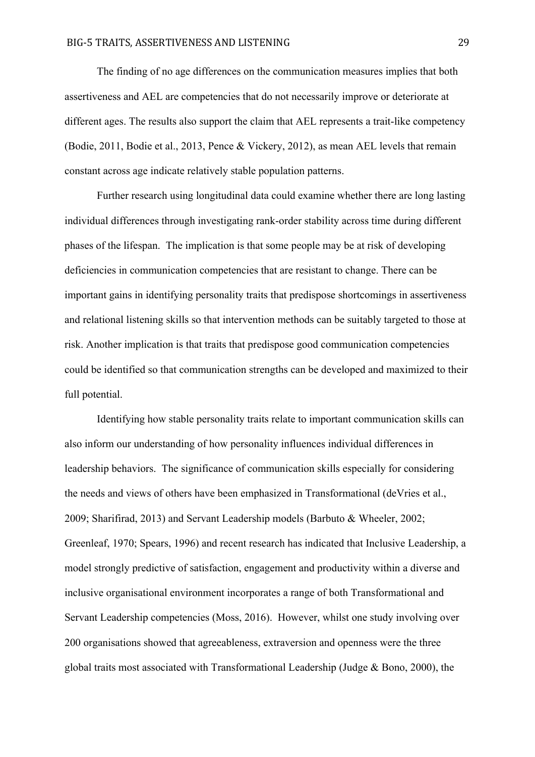The finding of no age differences on the communication measures implies that both assertiveness and AEL are competencies that do not necessarily improve or deteriorate at different ages. The results also support the claim that AEL represents a trait-like competency (Bodie, 2011, Bodie et al., 2013, Pence & Vickery, 2012), as mean AEL levels that remain constant across age indicate relatively stable population patterns.

Further research using longitudinal data could examine whether there are long lasting individual differences through investigating rank-order stability across time during different phases of the lifespan. The implication is that some people may be at risk of developing deficiencies in communication competencies that are resistant to change. There can be important gains in identifying personality traits that predispose shortcomings in assertiveness and relational listening skills so that intervention methods can be suitably targeted to those at risk. Another implication is that traits that predispose good communication competencies could be identified so that communication strengths can be developed and maximized to their full potential.

Identifying how stable personality traits relate to important communication skills can also inform our understanding of how personality influences individual differences in leadership behaviors. The significance of communication skills especially for considering the needs and views of others have been emphasized in Transformational (deVries et al., 2009; Sharifirad, 2013) and Servant Leadership models (Barbuto & Wheeler, 2002; Greenleaf, 1970; Spears, 1996) and recent research has indicated that Inclusive Leadership, a model strongly predictive of satisfaction, engagement and productivity within a diverse and inclusive organisational environment incorporates a range of both Transformational and Servant Leadership competencies (Moss, 2016). However, whilst one study involving over 200 organisations showed that agreeableness, extraversion and openness were the three global traits most associated with Transformational Leadership (Judge & Bono, 2000), the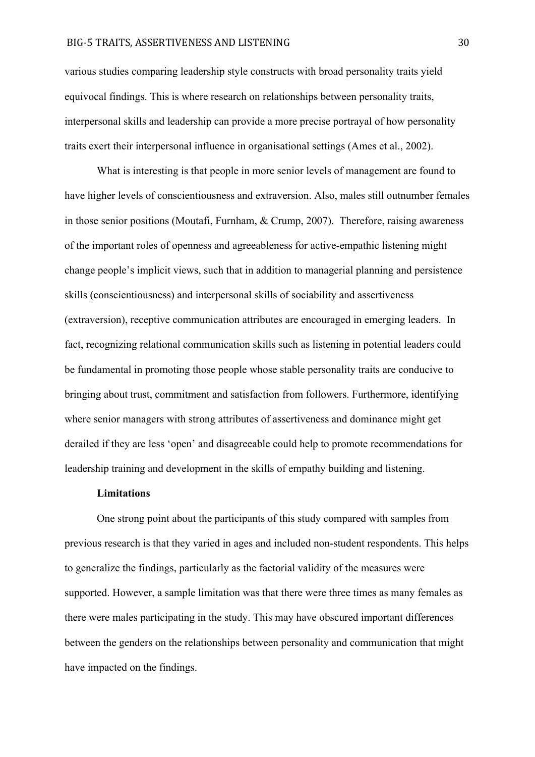#### BIG-5 TRAITS, ASSERTIVENESS AND LISTENING 30

various studies comparing leadership style constructs with broad personality traits yield equivocal findings. This is where research on relationships between personality traits, interpersonal skills and leadership can provide a more precise portrayal of how personality traits exert their interpersonal influence in organisational settings (Ames et al., 2002).

What is interesting is that people in more senior levels of management are found to have higher levels of conscientiousness and extraversion. Also, males still outnumber females in those senior positions (Moutafi, Furnham, & Crump, 2007). Therefore, raising awareness of the important roles of openness and agreeableness for active-empathic listening might change people's implicit views, such that in addition to managerial planning and persistence skills (conscientiousness) and interpersonal skills of sociability and assertiveness (extraversion), receptive communication attributes are encouraged in emerging leaders. In fact, recognizing relational communication skills such as listening in potential leaders could be fundamental in promoting those people whose stable personality traits are conducive to bringing about trust, commitment and satisfaction from followers. Furthermore, identifying where senior managers with strong attributes of assertiveness and dominance might get derailed if they are less 'open' and disagreeable could help to promote recommendations for leadership training and development in the skills of empathy building and listening.

## **Limitations**

One strong point about the participants of this study compared with samples from previous research is that they varied in ages and included non-student respondents. This helps to generalize the findings, particularly as the factorial validity of the measures were supported. However, a sample limitation was that there were three times as many females as there were males participating in the study. This may have obscured important differences between the genders on the relationships between personality and communication that might have impacted on the findings.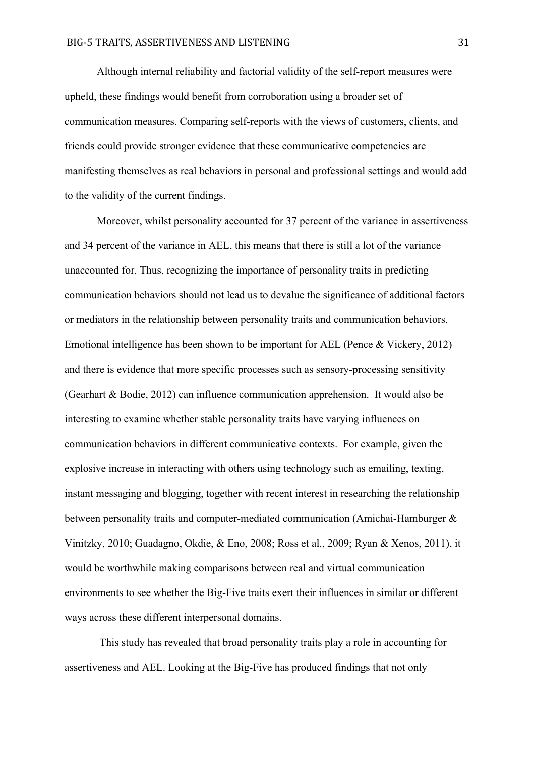Although internal reliability and factorial validity of the self-report measures were upheld, these findings would benefit from corroboration using a broader set of communication measures. Comparing self-reports with the views of customers, clients, and friends could provide stronger evidence that these communicative competencies are manifesting themselves as real behaviors in personal and professional settings and would add to the validity of the current findings.

Moreover, whilst personality accounted for 37 percent of the variance in assertiveness and 34 percent of the variance in AEL, this means that there is still a lot of the variance unaccounted for. Thus, recognizing the importance of personality traits in predicting communication behaviors should not lead us to devalue the significance of additional factors or mediators in the relationship between personality traits and communication behaviors. Emotional intelligence has been shown to be important for AEL (Pence & Vickery, 2012) and there is evidence that more specific processes such as sensory-processing sensitivity (Gearhart & Bodie, 2012) can influence communication apprehension. It would also be interesting to examine whether stable personality traits have varying influences on communication behaviors in different communicative contexts. For example, given the explosive increase in interacting with others using technology such as emailing, texting, instant messaging and blogging, together with recent interest in researching the relationship between personality traits and computer-mediated communication (Amichai-Hamburger & Vinitzky, 2010; Guadagno, Okdie, & Eno, 2008; Ross et al., 2009; Ryan & Xenos, 2011), it would be worthwhile making comparisons between real and virtual communication environments to see whether the Big-Five traits exert their influences in similar or different ways across these different interpersonal domains.

This study has revealed that broad personality traits play a role in accounting for assertiveness and AEL. Looking at the Big-Five has produced findings that not only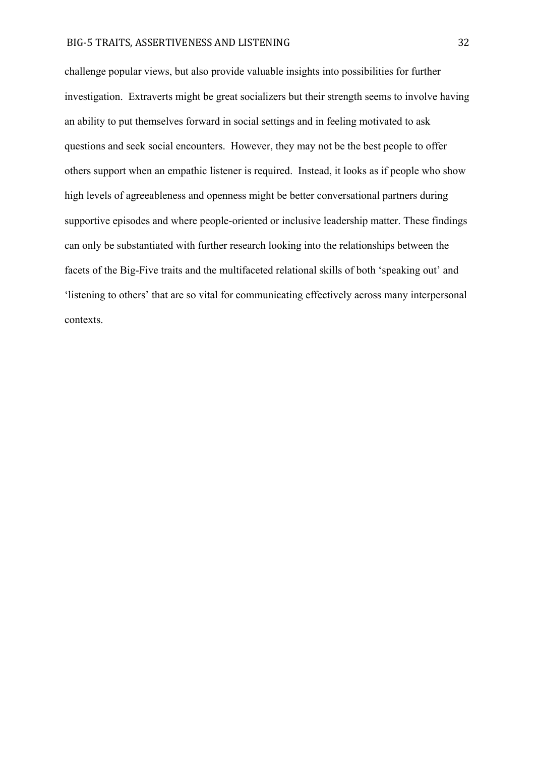#### BIG-5 TRAITS, ASSERTIVENESS AND LISTENING 32

challenge popular views, but also provide valuable insights into possibilities for further investigation. Extraverts might be great socializers but their strength seems to involve having an ability to put themselves forward in social settings and in feeling motivated to ask questions and seek social encounters. However, they may not be the best people to offer others support when an empathic listener is required. Instead, it looks as if people who show high levels of agreeableness and openness might be better conversational partners during supportive episodes and where people-oriented or inclusive leadership matter. These findings can only be substantiated with further research looking into the relationships between the facets of the Big-Five traits and the multifaceted relational skills of both 'speaking out' and 'listening to others' that are so vital for communicating effectively across many interpersonal contexts.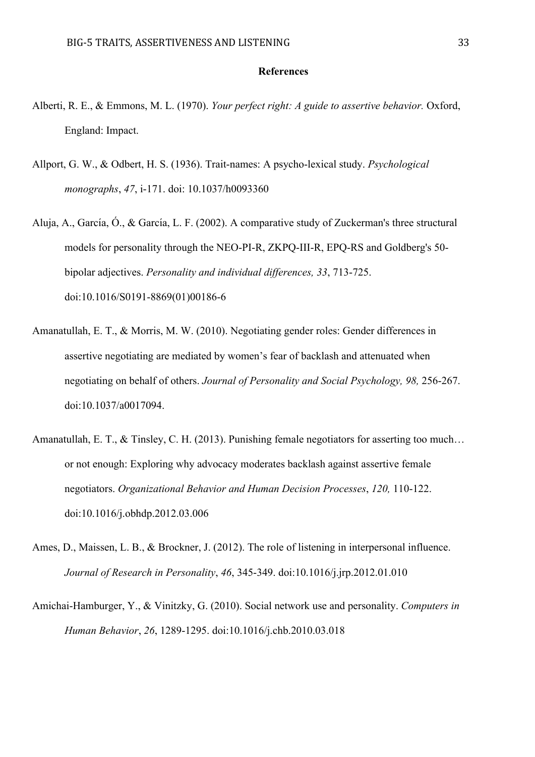#### **References**

- Alberti, R. E., & Emmons, M. L. (1970). *Your perfect right: A guide to assertive behavior.* Oxford, England: Impact.
- Allport, G. W., & Odbert, H. S. (1936). Trait-names: A psycho-lexical study. *Psychological monographs*, *47*, i-171. doi: 10.1037/h0093360
- Aluja, A., García, Ó., & García, L. F. (2002). A comparative study of Zuckerman's three structural models for personality through the NEO-PI-R, ZKPQ-III-R, EPQ-RS and Goldberg's 50 bipolar adjectives. *Personality and individual differences, 33*, 713-725. doi:10.1016/S0191-8869(01)00186-6
- Amanatullah, E. T., & Morris, M. W. (2010). Negotiating gender roles: Gender differences in assertive negotiating are mediated by women's fear of backlash and attenuated when negotiating on behalf of others. *Journal of Personality and Social Psychology, 98,* 256-267. doi:10.1037/a0017094.
- Amanatullah, E. T., & Tinsley, C. H. (2013). Punishing female negotiators for asserting too much… or not enough: Exploring why advocacy moderates backlash against assertive female negotiators. *Organizational Behavior and Human Decision Processes*, *120,* 110-122. doi:10.1016/j.obhdp.2012.03.006
- Ames, D., Maissen, L. B., & Brockner, J. (2012). The role of listening in interpersonal influence. *Journal of Research in Personality*, *46*, 345-349. doi:10.1016/j.jrp.2012.01.010
- Amichai-Hamburger, Y., & Vinitzky, G. (2010). Social network use and personality. *Computers in Human Behavior*, *26*, 1289-1295. doi:10.1016/j.chb.2010.03.018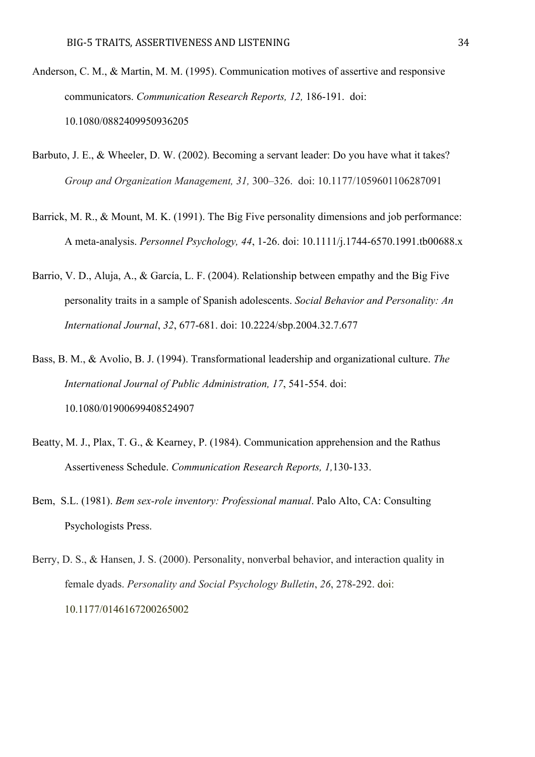- Anderson, C. M., & Martin, M. M. (1995). Communication motives of assertive and responsive communicators. *Communication Research Reports, 12,* 186-191. doi: 10.1080/0882409950936205
- Barbuto, J. E., & Wheeler, D. W. (2002). Becoming a servant leader: Do you have what it takes? *Group and Organization Management, 31,* 300–326. doi: 10.1177/1059601106287091
- Barrick, M. R., & Mount, M. K. (1991). The Big Five personality dimensions and job performance: A meta-analysis. *Personnel Psychology, 44*, 1-26. doi: 10.1111/j.1744-6570.1991.tb00688.x
- Barrio, V. D., Aluja, A., & García, L. F. (2004). Relationship between empathy and the Big Five personality traits in a sample of Spanish adolescents. *Social Behavior and Personality: An International Journal*, *32*, 677-681. doi: 10.2224/sbp.2004.32.7.677
- Bass, B. M., & Avolio, B. J. (1994). Transformational leadership and organizational culture. *The International Journal of Public Administration, 17*, 541-554. doi: 10.1080/01900699408524907
- Beatty, M. J., Plax, T. G., & Kearney, P. (1984). Communication apprehension and the Rathus Assertiveness Schedule. *Communication Research Reports, 1,*130-133.
- Bem, S.L. (1981). *Bem sex-role inventory: Professional manual*. Palo Alto, CA: Consulting Psychologists Press.
- Berry, D. S., & Hansen, J. S. (2000). Personality, nonverbal behavior, and interaction quality in female dyads. *Personality and Social Psychology Bulletin*, *26*, 278-292. doi: 10.1177/0146167200265002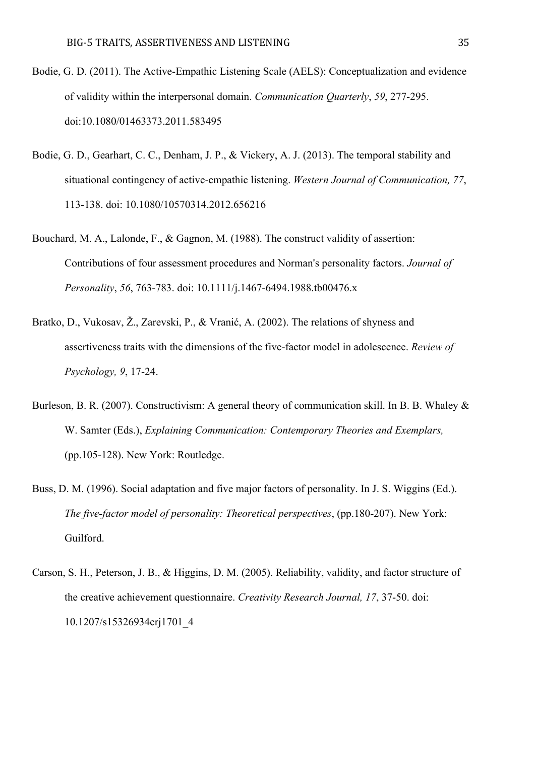- Bodie, G. D. (2011). The Active-Empathic Listening Scale (AELS): Conceptualization and evidence of validity within the interpersonal domain. *Communication Quarterly*, *59*, 277-295. doi:10.1080/01463373.2011.583495
- Bodie, G. D., Gearhart, C. C., Denham, J. P., & Vickery, A. J. (2013). The temporal stability and situational contingency of active-empathic listening. *Western Journal of Communication, 77*, 113-138. doi: 10.1080/10570314.2012.656216
- Bouchard, M. A., Lalonde, F., & Gagnon, M. (1988). The construct validity of assertion: Contributions of four assessment procedures and Norman's personality factors. *Journal of Personality*, *56*, 763-783. doi: 10.1111/j.1467-6494.1988.tb00476.x
- Bratko, D., Vukosav, Ž., Zarevski, P., & Vranić, A. (2002). The relations of shyness and assertiveness traits with the dimensions of the five-factor model in adolescence. *Review of Psychology, 9*, 17-24.
- Burleson, B. R. (2007). Constructivism: A general theory of communication skill. In B. B. Whaley & W. Samter (Eds.), *Explaining Communication: Contemporary Theories and Exemplars,*  (pp.105-128). New York: Routledge.
- Buss, D. M. (1996). Social adaptation and five major factors of personality. In J. S. Wiggins (Ed.). *The five-factor model of personality: Theoretical perspectives*, (pp.180-207). New York: Guilford.
- Carson, S. H., Peterson, J. B., & Higgins, D. M. (2005). Reliability, validity, and factor structure of the creative achievement questionnaire. *Creativity Research Journal, 17*, 37-50. doi: 10.1207/s15326934crj1701\_4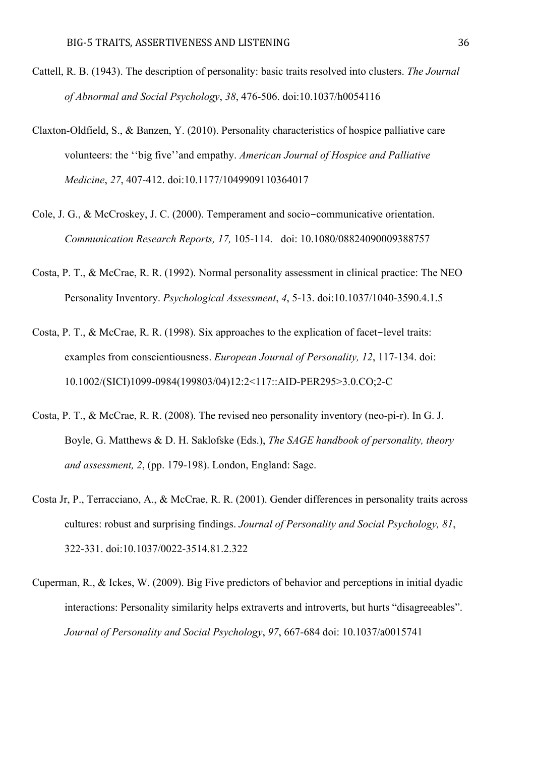- Cattell, R. B. (1943). The description of personality: basic traits resolved into clusters. *The Journal of Abnormal and Social Psychology*, *38*, 476-506. doi:10.1037/h0054116
- Claxton-Oldfield, S., & Banzen, Y. (2010). Personality characteristics of hospice palliative care volunteers: the ''big five''and empathy. *American Journal of Hospice and Palliative Medicine*, *27*, 407-412. doi:10.1177/1049909110364017
- Cole, J. G., & McCroskey, J. C. (2000). Temperament and socio-communicative orientation. *Communication Research Reports, 17,* 105-114. doi: 10.1080/08824090009388757
- Costa, P. T., & McCrae, R. R. (1992). Normal personality assessment in clinical practice: The NEO Personality Inventory. *Psychological Assessment*, *4*, 5-13. doi:10.1037/1040-3590.4.1.5
- Costa, P. T., & McCrae, R. R. (1998). Six approaches to the explication of facet-level traits: examples from conscientiousness. *European Journal of Personality, 12*, 117-134. doi: 10.1002/(SICI)1099-0984(199803/04)12:2<117::AID-PER295>3.0.CO;2-C
- Costa, P. T., & McCrae, R. R. (2008). The revised neo personality inventory (neo-pi-r). In G. J. Boyle, G. Matthews & D. H. Saklofske (Eds.), *The SAGE handbook of personality, theory and assessment, 2*, (pp. 179-198). London, England: Sage.
- Costa Jr, P., Terracciano, A., & McCrae, R. R. (2001). Gender differences in personality traits across cultures: robust and surprising findings. *Journal of Personality and Social Psychology, 81*, 322-331. doi:10.1037/0022-3514.81.2.322
- Cuperman, R., & Ickes, W. (2009). Big Five predictors of behavior and perceptions in initial dyadic interactions: Personality similarity helps extraverts and introverts, but hurts "disagreeables". *Journal of Personality and Social Psychology*, *97*, 667-684 doi: 10.1037/a0015741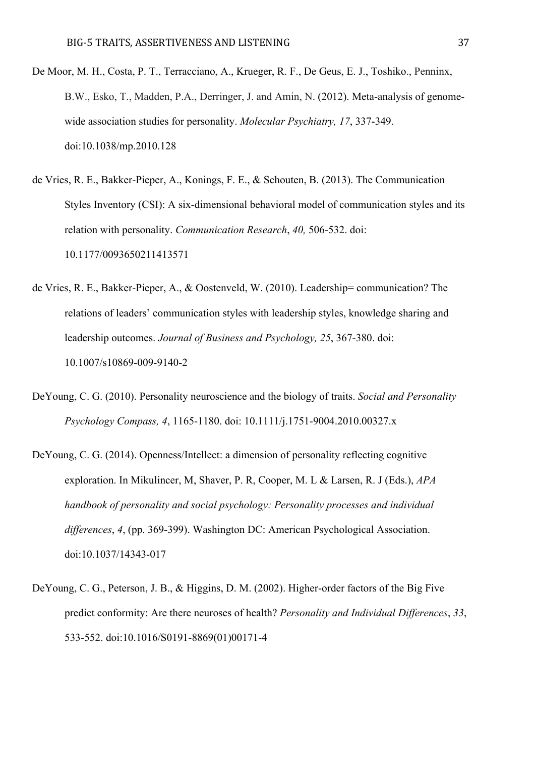- De Moor, M. H., Costa, P. T., Terracciano, A., Krueger, R. F., De Geus, E. J., Toshiko., Penninx, B.W., Esko, T., Madden, P.A., Derringer, J. and Amin, N. (2012). Meta-analysis of genomewide association studies for personality. *Molecular Psychiatry, 17*, 337-349. doi:10.1038/mp.2010.128
- de Vries, R. E., Bakker-Pieper, A., Konings, F. E., & Schouten, B. (2013). The Communication Styles Inventory (CSI): A six-dimensional behavioral model of communication styles and its relation with personality. *Communication Research*, *40,* 506-532. doi: 10.1177/0093650211413571
- de Vries, R. E., Bakker-Pieper, A., & Oostenveld, W. (2010). Leadership= communication? The relations of leaders' communication styles with leadership styles, knowledge sharing and leadership outcomes. *Journal of Business and Psychology, 25*, 367-380. doi: 10.1007/s10869-009-9140-2
- DeYoung, C. G. (2010). Personality neuroscience and the biology of traits. *Social and Personality Psychology Compass, 4*, 1165-1180. doi: 10.1111/j.1751-9004.2010.00327.x
- DeYoung, C. G. (2014). Openness/Intellect: a dimension of personality reflecting cognitive exploration. In Mikulincer, M, Shaver, P. R, Cooper, M. L & Larsen, R. J (Eds.), *APA handbook of personality and social psychology: Personality processes and individual differences*, *4*, (pp. 369-399). Washington DC: American Psychological Association. doi:10.1037/14343-017
- DeYoung, C. G., Peterson, J. B., & Higgins, D. M. (2002). Higher-order factors of the Big Five predict conformity: Are there neuroses of health? *Personality and Individual Differences*, *33*, 533-552. doi:10.1016/S0191-8869(01)00171-4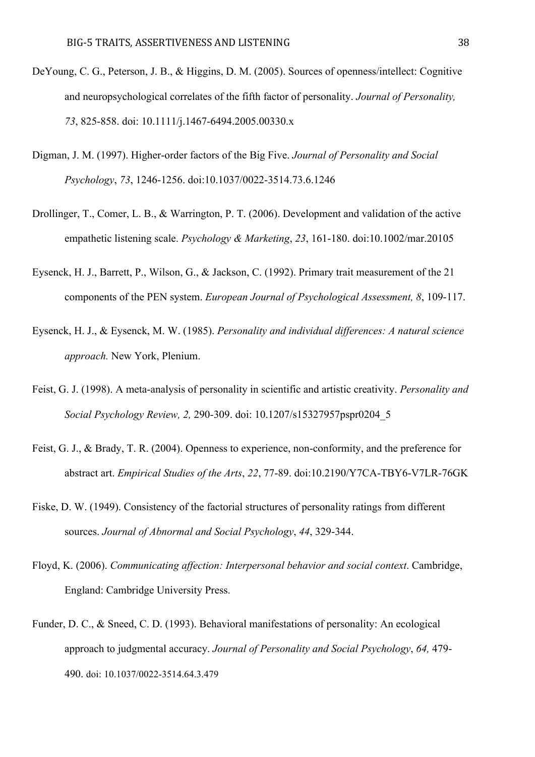- DeYoung, C. G., Peterson, J. B., & Higgins, D. M. (2005). Sources of openness/intellect: Cognitive and neuropsychological correlates of the fifth factor of personality. *Journal of Personality, 73*, 825-858. doi: 10.1111/j.1467-6494.2005.00330.x
- Digman, J. M. (1997). Higher-order factors of the Big Five. *Journal of Personality and Social Psychology*, *73*, 1246-1256. doi:10.1037/0022-3514.73.6.1246
- Drollinger, T., Comer, L. B., & Warrington, P. T. (2006). Development and validation of the active empathetic listening scale. *Psychology & Marketing*, *23*, 161-180. doi:10.1002/mar.20105
- Eysenck, H. J., Barrett, P., Wilson, G., & Jackson, C. (1992). Primary trait measurement of the 21 components of the PEN system. *European Journal of Psychological Assessment, 8*, 109-117.
- Eysenck, H. J., & Eysenck, M. W. (1985). *Personality and individual differences: A natural science approach.* New York, Plenium.
- Feist, G. J. (1998). A meta-analysis of personality in scientific and artistic creativity. *Personality and Social Psychology Review, 2,* 290-309. doi: 10.1207/s15327957pspr0204\_5
- Feist, G. J., & Brady, T. R. (2004). Openness to experience, non-conformity, and the preference for abstract art. *Empirical Studies of the Arts*, *22*, 77-89. doi:10.2190/Y7CA-TBY6-V7LR-76GK
- Fiske, D. W. (1949). Consistency of the factorial structures of personality ratings from different sources. *Journal of Abnormal and Social Psychology*, *44*, 329-344.
- Floyd, K. (2006). *Communicating affection: Interpersonal behavior and social context*. Cambridge, England: Cambridge University Press.
- Funder, D. C., & Sneed, C. D. (1993). Behavioral manifestations of personality: An ecological approach to judgmental accuracy. *Journal of Personality and Social Psychology*, *64,* 479- 490. doi: 10.1037/0022-3514.64.3.479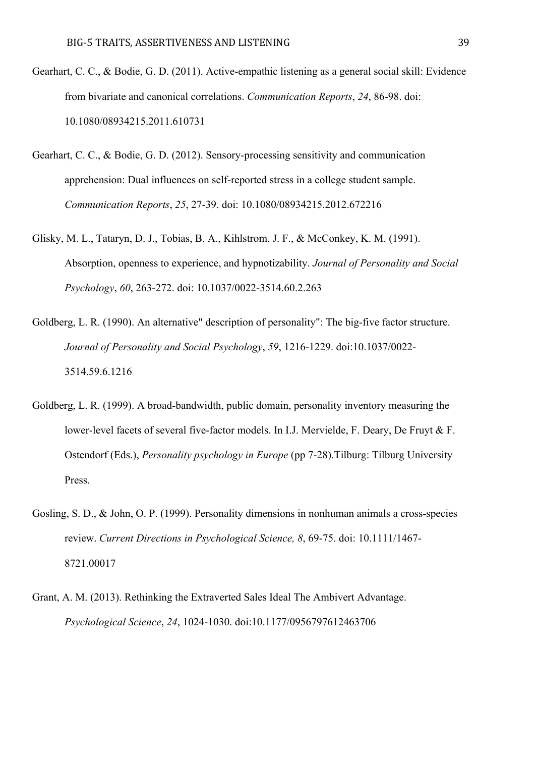- Gearhart, C. C., & Bodie, G. D. (2011). Active-empathic listening as a general social skill: Evidence from bivariate and canonical correlations. *Communication Reports*, *24*, 86-98. doi: 10.1080/08934215.2011.610731
- Gearhart, C. C., & Bodie, G. D. (2012). Sensory-processing sensitivity and communication apprehension: Dual influences on self-reported stress in a college student sample. *Communication Reports*, *25*, 27-39. doi: 10.1080/08934215.2012.672216
- Glisky, M. L., Tataryn, D. J., Tobias, B. A., Kihlstrom, J. F., & McConkey, K. M. (1991). Absorption, openness to experience, and hypnotizability. *Journal of Personality and Social Psychology*, *60*, 263-272. doi: 10.1037/0022-3514.60.2.263
- Goldberg, L. R. (1990). An alternative" description of personality": The big-five factor structure. *Journal of Personality and Social Psychology*, *59*, 1216-1229. doi:10.1037/0022- 3514.59.6.1216
- Goldberg, L. R. (1999). A broad-bandwidth, public domain, personality inventory measuring the lower-level facets of several five-factor models. In I.J. Mervielde, F. Deary, De Fruyt & F. Ostendorf (Eds.), *Personality psychology in Europe* (pp 7-28).Tilburg: Tilburg University Press.
- Gosling, S. D., & John, O. P. (1999). Personality dimensions in nonhuman animals a cross-species review. *Current Directions in Psychological Science, 8*, 69-75. doi: 10.1111/1467- 8721.00017
- Grant, A. M. (2013). Rethinking the Extraverted Sales Ideal The Ambivert Advantage. *Psychological Science*, *24*, 1024-1030. doi:10.1177/0956797612463706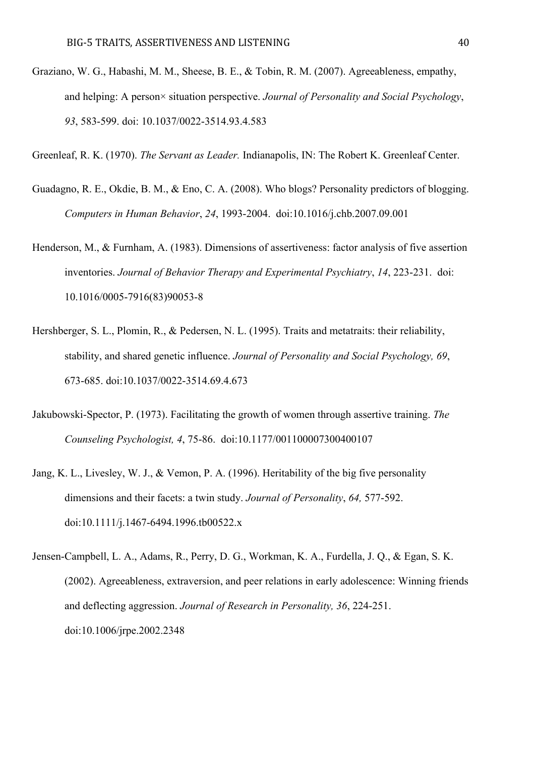- Graziano, W. G., Habashi, M. M., Sheese, B. E., & Tobin, R. M. (2007). Agreeableness, empathy, and helping: A person× situation perspective. *Journal of Personality and Social Psychology*, *93*, 583-599. doi: 10.1037/0022-3514.93.4.583
- Greenleaf, R. K. (1970). *The Servant as Leader.* Indianapolis, IN: The Robert K. Greenleaf Center.
- Guadagno, R. E., Okdie, B. M., & Eno, C. A. (2008). Who blogs? Personality predictors of blogging. *Computers in Human Behavior*, *24*, 1993-2004. doi:10.1016/j.chb.2007.09.001
- Henderson, M., & Furnham, A. (1983). Dimensions of assertiveness: factor analysis of five assertion inventories. *Journal of Behavior Therapy and Experimental Psychiatry*, *14*, 223-231. doi: 10.1016/0005-7916(83)90053-8
- Hershberger, S. L., Plomin, R., & Pedersen, N. L. (1995). Traits and metatraits: their reliability, stability, and shared genetic influence. *Journal of Personality and Social Psychology, 69*, 673-685. doi:10.1037/0022-3514.69.4.673
- Jakubowski-Spector, P. (1973). Facilitating the growth of women through assertive training. *The Counseling Psychologist, 4*, 75-86. doi:10.1177/001100007300400107
- Jang, K. L., Livesley, W. J., & Vemon, P. A. (1996). Heritability of the big five personality dimensions and their facets: a twin study. *Journal of Personality*, *64,* 577-592. doi:10.1111/j.1467-6494.1996.tb00522.x
- Jensen-Campbell, L. A., Adams, R., Perry, D. G., Workman, K. A., Furdella, J. Q., & Egan, S. K. (2002). Agreeableness, extraversion, and peer relations in early adolescence: Winning friends and deflecting aggression. *Journal of Research in Personality, 36*, 224-251. doi:10.1006/jrpe.2002.2348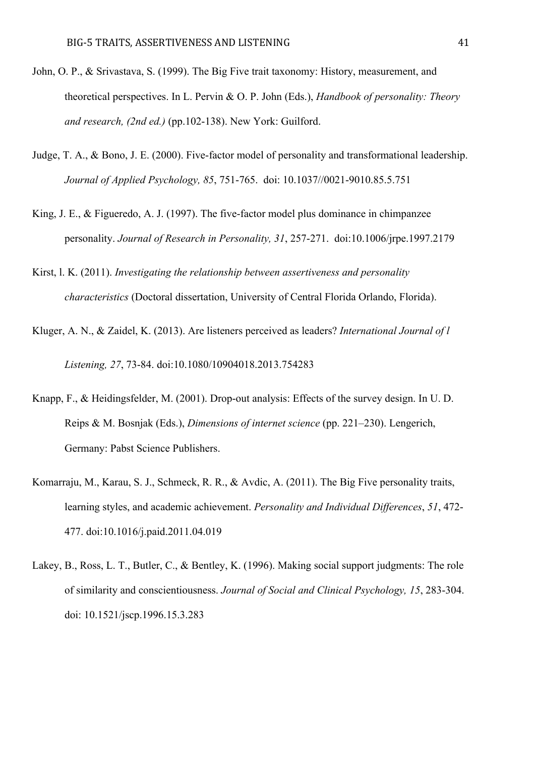- John, O. P., & Srivastava, S. (1999). The Big Five trait taxonomy: History, measurement, and theoretical perspectives. In L. Pervin & O. P. John (Eds.), *Handbook of personality: Theory and research, (2nd ed.)* (pp.102-138). New York: Guilford.
- Judge, T. A., & Bono, J. E. (2000). Five-factor model of personality and transformational leadership. *Journal of Applied Psychology, 85*, 751-765. doi: 10.1037//0021-9010.85.5.751
- King, J. E., & Figueredo, A. J. (1997). The five-factor model plus dominance in chimpanzee personality. *Journal of Research in Personality, 31*, 257-271. doi:10.1006/jrpe.1997.2179
- Kirst, l. K. (2011). *Investigating the relationship between assertiveness and personality characteristics* (Doctoral dissertation, University of Central Florida Orlando, Florida).
- Kluger, A. N., & Zaidel, K. (2013). Are listeners perceived as leaders? *International Journal of l Listening, 27*, 73-84. doi:10.1080/10904018.2013.754283
- Knapp, F., & Heidingsfelder, M. (2001). Drop-out analysis: Effects of the survey design. In U. D. Reips & M. Bosnjak (Eds.), *Dimensions of internet science* (pp. 221–230). Lengerich, Germany: Pabst Science Publishers.
- Komarraju, M., Karau, S. J., Schmeck, R. R., & Avdic, A. (2011). The Big Five personality traits, learning styles, and academic achievement. *Personality and Individual Differences*, *51*, 472- 477. doi:10.1016/j.paid.2011.04.019
- Lakey, B., Ross, L. T., Butler, C., & Bentley, K. (1996). Making social support judgments: The role of similarity and conscientiousness. *Journal of Social and Clinical Psychology, 15*, 283-304. doi: 10.1521/jscp.1996.15.3.283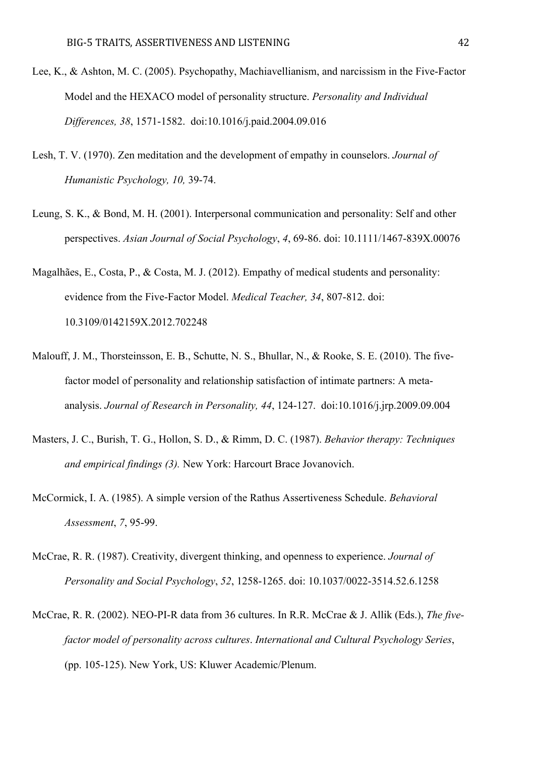- Lee, K., & Ashton, M. C. (2005). Psychopathy, Machiavellianism, and narcissism in the Five-Factor Model and the HEXACO model of personality structure. *Personality and Individual Differences, 38*, 1571-1582. doi:10.1016/j.paid.2004.09.016
- Lesh, T. V. (1970). Zen meditation and the development of empathy in counselors. *Journal of Humanistic Psychology, 10,* 39-74.
- Leung, S. K., & Bond, M. H. (2001). Interpersonal communication and personality: Self and other perspectives. *Asian Journal of Social Psychology*, *4*, 69-86. doi: 10.1111/1467-839X.00076
- Magalhães, E., Costa, P., & Costa, M. J. (2012). Empathy of medical students and personality: evidence from the Five-Factor Model. *Medical Teacher, 34*, 807-812. doi: 10.3109/0142159X.2012.702248
- Malouff, J. M., Thorsteinsson, E. B., Schutte, N. S., Bhullar, N., & Rooke, S. E. (2010). The fivefactor model of personality and relationship satisfaction of intimate partners: A metaanalysis. *Journal of Research in Personality, 44*, 124-127. doi:10.1016/j.jrp.2009.09.004
- Masters, J. C., Burish, T. G., Hollon, S. D., & Rimm, D. C. (1987). *Behavior therapy: Techniques and empirical findings (3).* New York: Harcourt Brace Jovanovich.
- McCormick, I. A. (1985). A simple version of the Rathus Assertiveness Schedule. *Behavioral Assessment*, *7*, 95-99.
- McCrae, R. R. (1987). Creativity, divergent thinking, and openness to experience. *Journal of Personality and Social Psychology*, *52*, 1258-1265. doi: 10.1037/0022-3514.52.6.1258
- McCrae, R. R. (2002). NEO-PI-R data from 36 cultures. In R.R. McCrae & J. Allik (Eds.), *The fivefactor model of personality across cultures*. *International and Cultural Psychology Series*, (pp. 105-125). New York, US: Kluwer Academic/Plenum.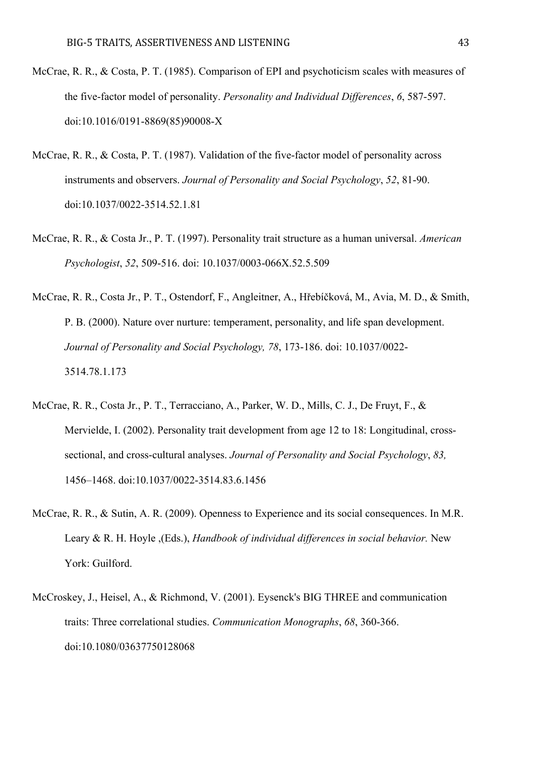- McCrae, R. R., & Costa, P. T. (1985). Comparison of EPI and psychoticism scales with measures of the five-factor model of personality. *Personality and Individual Differences*, *6*, 587-597. doi:10.1016/0191-8869(85)90008-X
- McCrae, R. R., & Costa, P. T. (1987). Validation of the five-factor model of personality across instruments and observers. *Journal of Personality and Social Psychology*, *52*, 81-90. doi:10.1037/0022-3514.52.1.81
- McCrae, R. R., & Costa Jr., P. T. (1997). Personality trait structure as a human universal. *American Psychologist*, *52*, 509-516. doi: 10.1037/0003-066X.52.5.509
- McCrae, R. R., Costa Jr., P. T., Ostendorf, F., Angleitner, A., Hřebíčková, M., Avia, M. D., & Smith, P. B. (2000). Nature over nurture: temperament, personality, and life span development. *Journal of Personality and Social Psychology, 78*, 173-186. doi: 10.1037/0022- 3514.78.1.173
- McCrae, R. R., Costa Jr., P. T., Terracciano, A., Parker, W. D., Mills, C. J., De Fruyt, F., & Mervielde, I. (2002). Personality trait development from age 12 to 18: Longitudinal, crosssectional, and cross-cultural analyses. *Journal of Personality and Social Psychology*, *83,* 1456–1468. doi:10.1037/0022-3514.83.6.1456
- McCrae, R. R., & Sutin, A. R. (2009). Openness to Experience and its social consequences. In M.R. Leary & R. H. Hoyle ,(Eds.), *Handbook of individual differences in social behavior.* New York: Guilford.
- McCroskey, J., Heisel, A., & Richmond, V. (2001). Eysenck's BIG THREE and communication traits: Three correlational studies. *Communication Monographs*, *68*, 360-366. doi:10.1080/03637750128068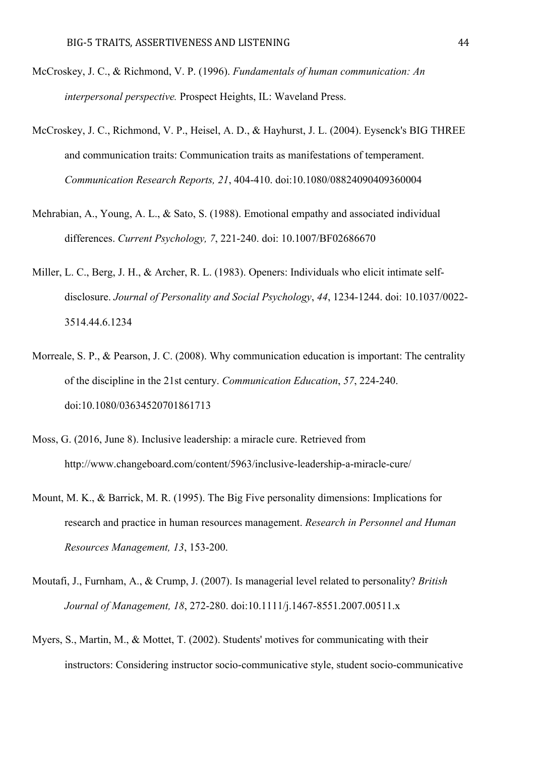- McCroskey, J. C., & Richmond, V. P. (1996). *Fundamentals of human communication: An interpersonal perspective.* Prospect Heights, IL: Waveland Press.
- McCroskey, J. C., Richmond, V. P., Heisel, A. D., & Hayhurst, J. L. (2004). Eysenck's BIG THREE and communication traits: Communication traits as manifestations of temperament. *Communication Research Reports, 21*, 404-410. doi:10.1080/08824090409360004
- Mehrabian, A., Young, A. L., & Sato, S. (1988). Emotional empathy and associated individual differences. *Current Psychology, 7*, 221-240. doi: 10.1007/BF02686670
- Miller, L. C., Berg, J. H., & Archer, R. L. (1983). Openers: Individuals who elicit intimate selfdisclosure. *Journal of Personality and Social Psychology*, *44*, 1234-1244. doi: 10.1037/0022- 3514.44.6.1234
- Morreale, S. P., & Pearson, J. C. (2008). Why communication education is important: The centrality of the discipline in the 21st century. *Communication Education*, *57*, 224-240. doi:10.1080/03634520701861713
- Moss, G. (2016, June 8). Inclusive leadership: a miracle cure. Retrieved from http://www.changeboard.com/content/5963/inclusive-leadership-a-miracle-cure/
- Mount, M. K., & Barrick, M. R. (1995). The Big Five personality dimensions: Implications for research and practice in human resources management. *Research in Personnel and Human Resources Management, 13*, 153-200.
- Moutafi, J., Furnham, A., & Crump, J. (2007). Is managerial level related to personality? *British Journal of Management, 18*, 272-280. doi:10.1111/j.1467-8551.2007.00511.x
- Myers, S., Martin, M., & Mottet, T. (2002). Students' motives for communicating with their instructors: Considering instructor socio-communicative style, student socio-communicative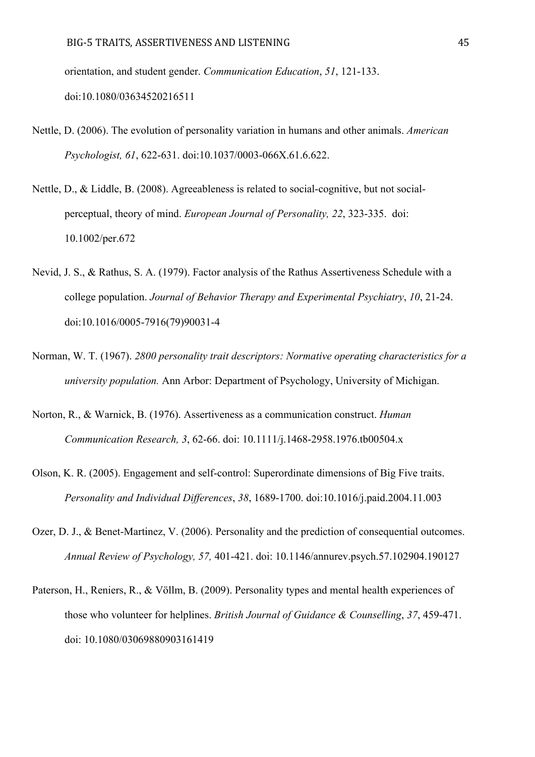orientation, and student gender. *Communication Education*, *51*, 121-133. doi:10.1080/03634520216511

- Nettle, D. (2006). The evolution of personality variation in humans and other animals. *American Psychologist, 61*, 622-631. doi:10.1037/0003-066X.61.6.622.
- Nettle, D., & Liddle, B. (2008). Agreeableness is related to social-cognitive, but not socialperceptual, theory of mind. *European Journal of Personality, 22*, 323-335. doi: 10.1002/per.672
- Nevid, J. S., & Rathus, S. A. (1979). Factor analysis of the Rathus Assertiveness Schedule with a college population. *Journal of Behavior Therapy and Experimental Psychiatry*, *10*, 21-24. doi:10.1016/0005-7916(79)90031-4
- Norman, W. T. (1967). *2800 personality trait descriptors: Normative operating characteristics for a university population.* Ann Arbor: Department of Psychology, University of Michigan.
- Norton, R., & Warnick, B. (1976). Assertiveness as a communication construct. *Human Communication Research, 3*, 62-66. doi: 10.1111/j.1468-2958.1976.tb00504.x
- Olson, K. R. (2005). Engagement and self-control: Superordinate dimensions of Big Five traits. *Personality and Individual Differences*, *38*, 1689-1700. doi:10.1016/j.paid.2004.11.003
- Ozer, D. J., & Benet-Martinez, V. (2006). Personality and the prediction of consequential outcomes. *Annual Review of Psychology, 57,* 401-421. doi: 10.1146/annurev.psych.57.102904.190127
- Paterson, H., Reniers, R., & Völlm, B. (2009). Personality types and mental health experiences of those who volunteer for helplines. *British Journal of Guidance & Counselling*, *37*, 459-471. doi: 10.1080/03069880903161419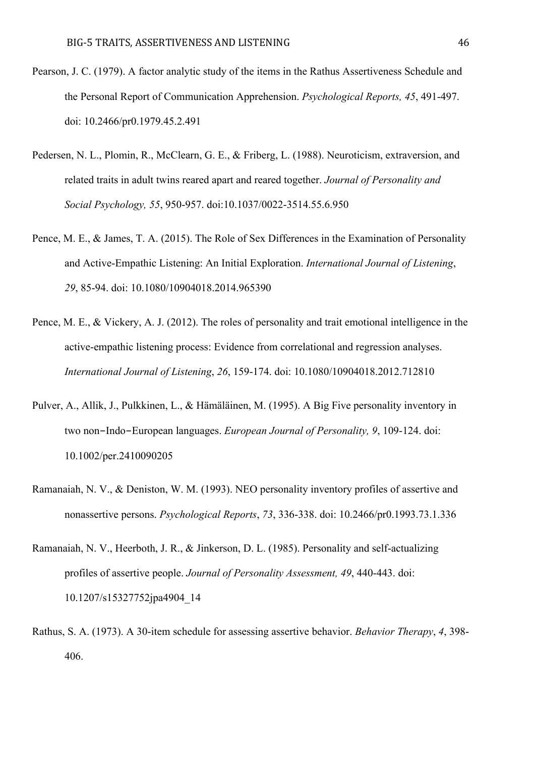- Pearson, J. C. (1979). A factor analytic study of the items in the Rathus Assertiveness Schedule and the Personal Report of Communication Apprehension. *Psychological Reports, 45*, 491-497. doi: 10.2466/pr0.1979.45.2.491
- Pedersen, N. L., Plomin, R., McClearn, G. E., & Friberg, L. (1988). Neuroticism, extraversion, and related traits in adult twins reared apart and reared together. *Journal of Personality and Social Psychology, 55*, 950-957. doi:10.1037/0022-3514.55.6.950
- Pence, M. E., & James, T. A. (2015). The Role of Sex Differences in the Examination of Personality and Active-Empathic Listening: An Initial Exploration. *International Journal of Listening*, *29*, 85-94. doi: 10.1080/10904018.2014.965390
- Pence, M. E., & Vickery, A. J. (2012). The roles of personality and trait emotional intelligence in the active-empathic listening process: Evidence from correlational and regression analyses. *International Journal of Listening*, *26*, 159-174. doi: 10.1080/10904018.2012.712810
- Pulver, A., Allik, J., Pulkkinen, L., & Hämäläinen, M. (1995). A Big Five personality inventory in two non-Indo-European languages. *European Journal of Personality, 9*, 109-124. doi: 10.1002/per.2410090205
- Ramanaiah, N. V., & Deniston, W. M. (1993). NEO personality inventory profiles of assertive and nonassertive persons. *Psychological Reports*, *73*, 336-338. doi: 10.2466/pr0.1993.73.1.336
- Ramanaiah, N. V., Heerboth, J. R., & Jinkerson, D. L. (1985). Personality and self-actualizing profiles of assertive people. *Journal of Personality Assessment, 49*, 440-443. doi: 10.1207/s15327752jpa4904\_14
- Rathus, S. A. (1973). A 30-item schedule for assessing assertive behavior. *Behavior Therapy*, *4*, 398- 406.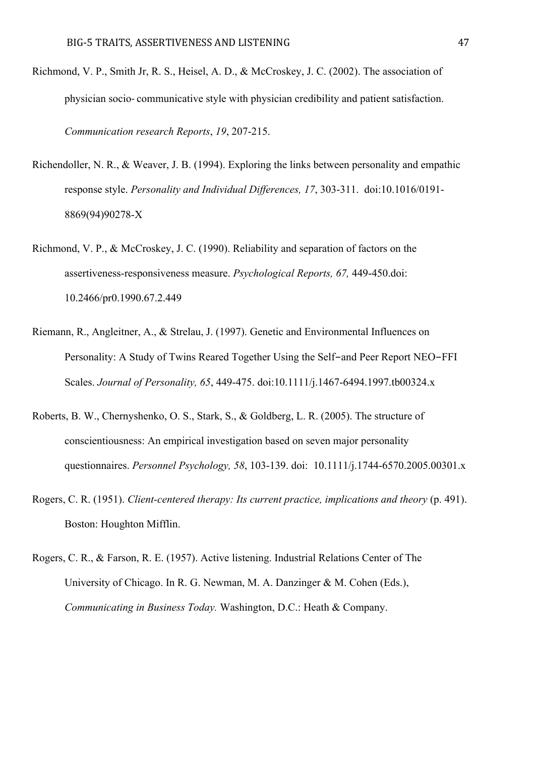- Richmond, V. P., Smith Jr, R. S., Heisel, A. D., & McCroskey, J. C. (2002). The association of physician socio- communicative style with physician credibility and patient satisfaction. *Communication research Reports*, *19*, 207-215.
- Richendoller, N. R., & Weaver, J. B. (1994). Exploring the links between personality and empathic response style. *Personality and Individual Differences, 17*, 303-311. doi:10.1016/0191- 8869(94)90278-X
- Richmond, V. P., & McCroskey, J. C. (1990). Reliability and separation of factors on the assertiveness-responsiveness measure. *Psychological Reports, 67,* 449-450.doi: 10.2466/pr0.1990.67.2.449
- Riemann, R., Angleitner, A., & Strelau, J. (1997). Genetic and Environmental Influences on Personality: A Study of Twins Reared Together Using the Self-and Peer Report NEO-FFI Scales. *Journal of Personality, 65*, 449-475. doi:10.1111/j.1467-6494.1997.tb00324.x
- Roberts, B. W., Chernyshenko, O. S., Stark, S., & Goldberg, L. R. (2005). The structure of conscientiousness: An empirical investigation based on seven major personality questionnaires. *Personnel Psychology, 58*, 103-139. doi: 10.1111/j.1744-6570.2005.00301.x
- Rogers, C. R. (1951). *Client-centered therapy: Its current practice, implications and theory* (p. 491). Boston: Houghton Mifflin.
- Rogers, C. R., & Farson, R. E. (1957). Active listening. Industrial Relations Center of The University of Chicago. In R. G. Newman, M. A. Danzinger & M. Cohen (Eds.), *Communicating in Business Today.* Washington, D.C.: Heath & Company.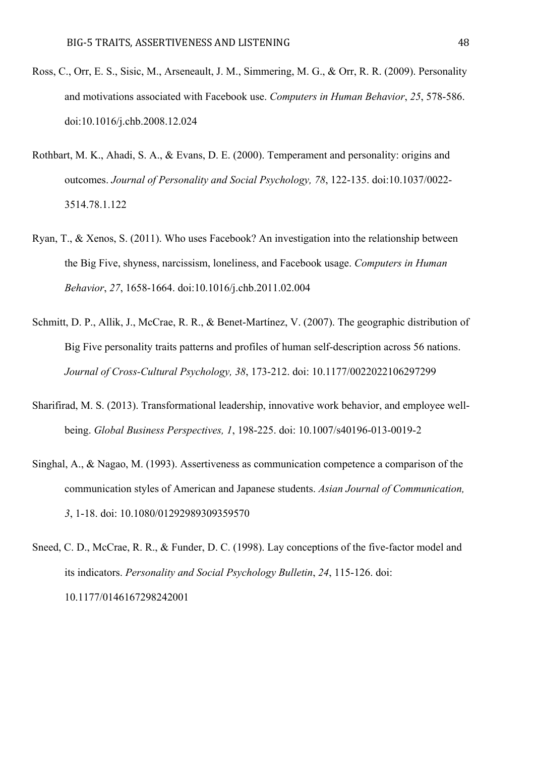- Ross, C., Orr, E. S., Sisic, M., Arseneault, J. M., Simmering, M. G., & Orr, R. R. (2009). Personality and motivations associated with Facebook use. *Computers in Human Behavior*, *25*, 578-586. doi:10.1016/j.chb.2008.12.024
- Rothbart, M. K., Ahadi, S. A., & Evans, D. E. (2000). Temperament and personality: origins and outcomes. *Journal of Personality and Social Psychology, 78*, 122-135. doi:10.1037/0022- 3514.78.1.122
- Ryan, T., & Xenos, S. (2011). Who uses Facebook? An investigation into the relationship between the Big Five, shyness, narcissism, loneliness, and Facebook usage. *Computers in Human Behavior*, *27*, 1658-1664. doi:10.1016/j.chb.2011.02.004
- Schmitt, D. P., Allik, J., McCrae, R. R., & Benet-Martínez, V. (2007). The geographic distribution of Big Five personality traits patterns and profiles of human self-description across 56 nations. *Journal of Cross-Cultural Psychology, 38*, 173-212. doi: 10.1177/0022022106297299
- Sharifirad, M. S. (2013). Transformational leadership, innovative work behavior, and employee wellbeing. *Global Business Perspectives, 1*, 198-225. doi: 10.1007/s40196-013-0019-2
- Singhal, A., & Nagao, M. (1993). Assertiveness as communication competence a comparison of the communication styles of American and Japanese students. *Asian Journal of Communication, 3*, 1-18. doi: 10.1080/01292989309359570
- Sneed, C. D., McCrae, R. R., & Funder, D. C. (1998). Lay conceptions of the five-factor model and its indicators. *Personality and Social Psychology Bulletin*, *24*, 115-126. doi: 10.1177/0146167298242001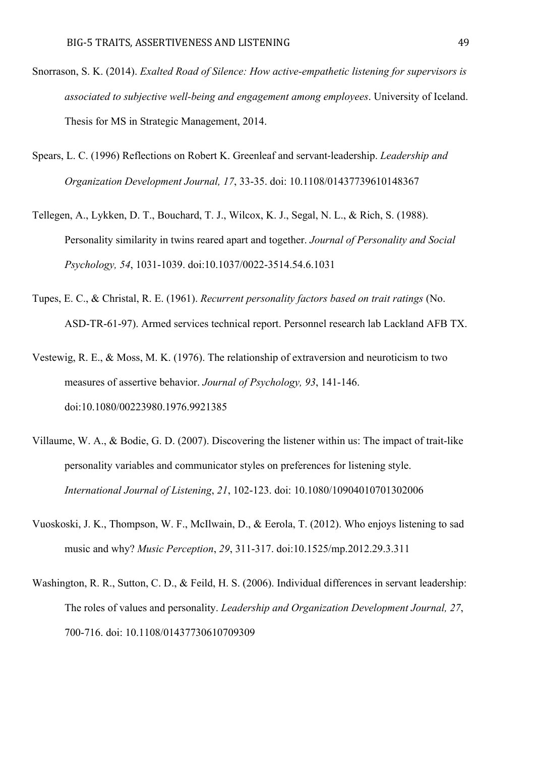- Snorrason, S. K. (2014). *Exalted Road of Silence: How active-empathetic listening for supervisors is associated to subjective well-being and engagement among employees*. University of Iceland. Thesis for MS in Strategic Management, 2014.
- Spears, L. C. (1996) Reflections on Robert K. Greenleaf and servant-leadership. *Leadership and Organization Development Journal, 17*, 33-35. doi: 10.1108/01437739610148367
- Tellegen, A., Lykken, D. T., Bouchard, T. J., Wilcox, K. J., Segal, N. L., & Rich, S. (1988). Personality similarity in twins reared apart and together. *Journal of Personality and Social Psychology, 54*, 1031-1039. doi:10.1037/0022-3514.54.6.1031
- Tupes, E. C., & Christal, R. E. (1961). *Recurrent personality factors based on trait ratings* (No. ASD-TR-61-97). Armed services technical report. Personnel research lab Lackland AFB TX.
- Vestewig, R. E., & Moss, M. K. (1976). The relationship of extraversion and neuroticism to two measures of assertive behavior. *Journal of Psychology, 93*, 141-146. doi:10.1080/00223980.1976.9921385
- Villaume, W. A., & Bodie, G. D. (2007). Discovering the listener within us: The impact of trait-like personality variables and communicator styles on preferences for listening style. *International Journal of Listening*, *21*, 102-123. doi: 10.1080/10904010701302006
- Vuoskoski, J. K., Thompson, W. F., McIlwain, D., & Eerola, T. (2012). Who enjoys listening to sad music and why? *Music Perception*, *29*, 311-317. doi:10.1525/mp.2012.29.3.311
- Washington, R. R., Sutton, C. D., & Feild, H. S. (2006). Individual differences in servant leadership: The roles of values and personality. *Leadership and Organization Development Journal, 27*, 700-716. doi: 10.1108/01437730610709309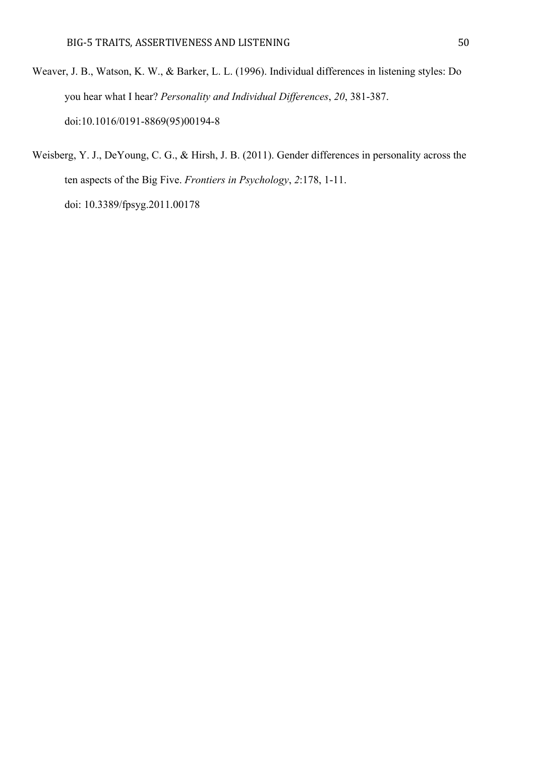- Weaver, J. B., Watson, K. W., & Barker, L. L. (1996). Individual differences in listening styles: Do you hear what I hear? *Personality and Individual Differences*, *20*, 381-387. doi:10.1016/0191-8869(95)00194-8
- Weisberg, Y. J., DeYoung, C. G., & Hirsh, J. B. (2011). Gender differences in personality across the ten aspects of the Big Five. *Frontiers in Psychology*, *2*:178, 1-11. doi: 10.3389/fpsyg.2011.00178